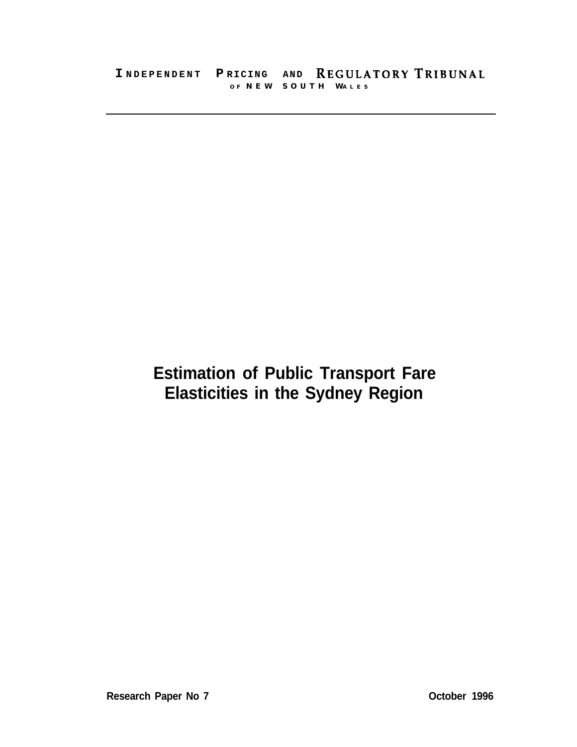# **Estimation of Public Transport Fare Elasticities in the Sydney Region**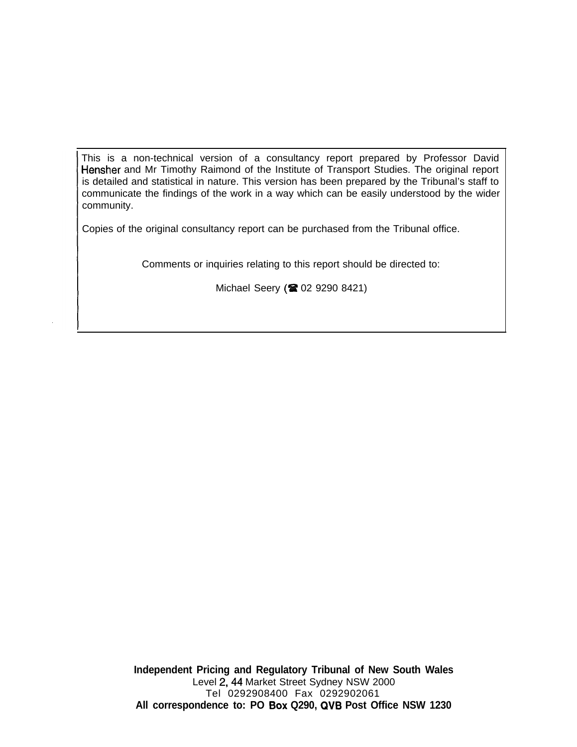This is a non-technical version of a consultancy report prepared by Professor David Hensher and Mr Timothy Raimond of the Institute of Transport Studies. The original report is detailed and statistical in nature. This version has been prepared by the Tribunal's staff to communicate the findings of the work in a way which can be easily understood by the wider community.

Copies of the original consultancy report can be purchased from the Tribunal office.

Comments or inquiries relating to this report should be directed to:

Michael Seery (2 02 9290 8421)

**Independent Pricing and Regulatory Tribunal of New South Wales** Level 2,44 Market Street Sydney NSW 2000 Tel 0292908400 Fax 0292902061 **All correspondence to: PO Box Q290, QVB Post Office NSW 1230**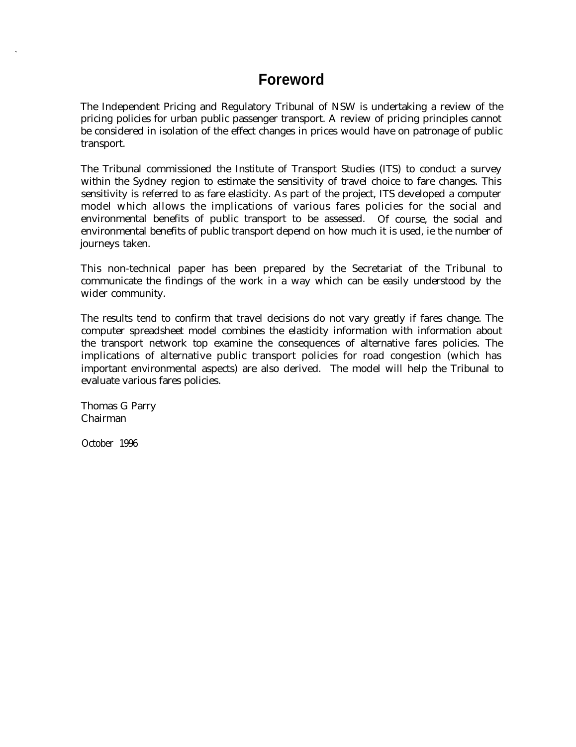## **Foreword**

The Independent Pricing and Regulatory Tribunal of NSW is undertaking a review of the pricing policies for urban public passenger transport. A review of pricing principles cannot be considered in isolation of the effect changes in prices would have on patronage of public transport.

The Tribunal commissioned the Institute of Transport Studies (ITS) to conduct a survey within the Sydney region to estimate the sensitivity of travel choice to fare changes. This sensitivity is referred to as fare elasticity. As part of the project, ITS developed a computer model which allows the implications of various fares policies for the social and environmental benefits of public transport to be assessed. Of course, the social and environmental benefits of public transport depend on how much it is used, ie the number of journeys taken.

This non-technical paper has been prepared by the Secretariat of the Tribunal to communicate the findings of the work in a way which can be easily understood by the wider community.

The results tend to confirm that travel decisions do not vary greatly if fares change. The computer spreadsheet model combines the elasticity information with information about the transport network top examine the consequences of alternative fares policies. The implications of alternative public transport policies for road congestion (which has important environmental aspects) are also derived. The model will help the Tribunal to evaluate various fares policies.

Thomas G Parry Chairman

October 1996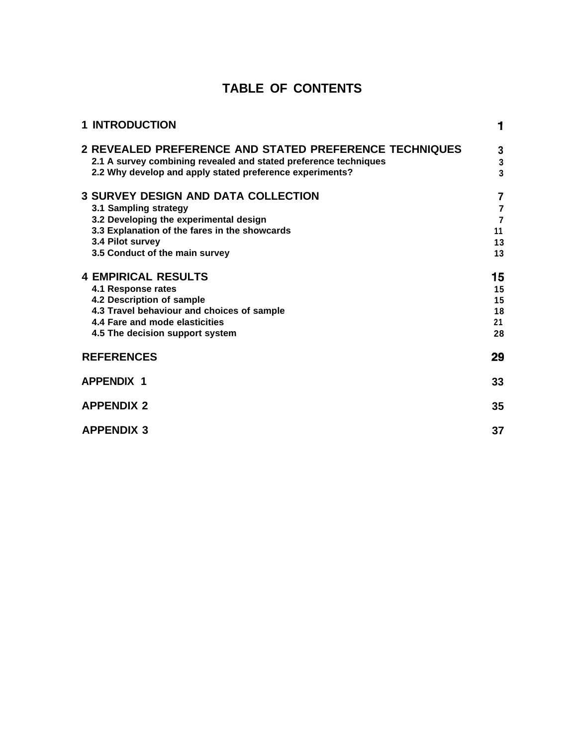## **TABLE OF CONTENTS**

| <b>1 INTRODUCTION</b>                                                                                                                                                                  | 1                        |
|----------------------------------------------------------------------------------------------------------------------------------------------------------------------------------------|--------------------------|
| 2 REVEALED PREFERENCE AND STATED PREFERENCE TECHNIQUES<br>2.1 A survey combining revealed and stated preference techniques<br>2.2 Why develop and apply stated preference experiments? | 3<br>3<br>$\overline{3}$ |
| <b>3 SURVEY DESIGN AND DATA COLLECTION</b>                                                                                                                                             | $\overline{7}$           |
| 3.1 Sampling strategy                                                                                                                                                                  | $\overline{\mathbf{r}}$  |
| 3.2 Developing the experimental design                                                                                                                                                 | $\overline{7}$           |
| 3.3 Explanation of the fares in the showcards                                                                                                                                          | 11                       |
| 3.4 Pilot survey                                                                                                                                                                       | 13                       |
| 3.5 Conduct of the main survey                                                                                                                                                         | 13                       |
| <b>4 EMPIRICAL RESULTS</b>                                                                                                                                                             | 15                       |
| 4.1 Response rates                                                                                                                                                                     | 15                       |
| 4.2 Description of sample                                                                                                                                                              | 15                       |
| 4.3 Travel behaviour and choices of sample                                                                                                                                             | 18                       |
| 4.4 Fare and mode elasticities                                                                                                                                                         | 21                       |
| 4.5 The decision support system                                                                                                                                                        | 28                       |
| <b>REFERENCES</b>                                                                                                                                                                      | 29                       |
| <b>APPENDIX 1</b>                                                                                                                                                                      | 33                       |
| <b>APPENDIX 2</b>                                                                                                                                                                      | 35                       |
| <b>APPENDIX 3</b>                                                                                                                                                                      | 37                       |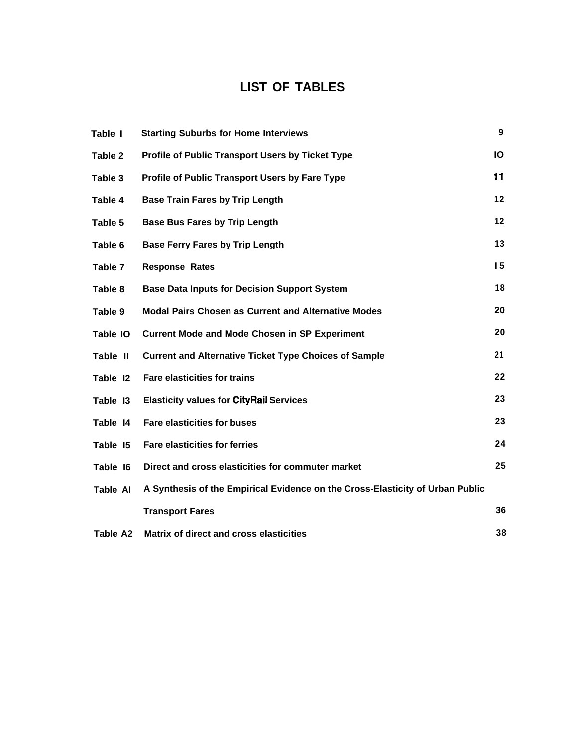## **LIST OF TABLES**

| Table I         | <b>Starting Suburbs for Home Interviews</b>                                   | 9  |
|-----------------|-------------------------------------------------------------------------------|----|
| Table 2         | <b>Profile of Public Transport Users by Ticket Type</b>                       | Ю  |
| Table 3         | Profile of Public Transport Users by Fare Type                                | 11 |
| Table 4         | <b>Base Train Fares by Trip Length</b>                                        | 12 |
| Table 5         | <b>Base Bus Fares by Trip Length</b>                                          | 12 |
| Table 6         | <b>Base Ferry Fares by Trip Length</b>                                        | 13 |
| Table 7         | <b>Response Rates</b>                                                         | 15 |
| Table 8         | <b>Base Data Inputs for Decision Support System</b>                           | 18 |
| Table 9         | <b>Modal Pairs Chosen as Current and Alternative Modes</b>                    | 20 |
| Table IO        | <b>Current Mode and Mode Chosen in SP Experiment</b>                          | 20 |
| Table II        | <b>Current and Alternative Ticket Type Choices of Sample</b>                  | 21 |
| Table 12        | <b>Fare elasticities for trains</b>                                           | 22 |
| Table 13        | <b>Elasticity values for CityRail Services</b>                                | 23 |
| Table 14        | <b>Fare elasticities for buses</b>                                            | 23 |
| Table 15        | <b>Fare elasticities for ferries</b>                                          | 24 |
| Table 16        | Direct and cross elasticities for commuter market                             | 25 |
| <b>Table AI</b> | A Synthesis of the Empirical Evidence on the Cross-Elasticity of Urban Public |    |
|                 | <b>Transport Fares</b>                                                        | 36 |
| <b>Table A2</b> | Matrix of direct and cross elasticities                                       | 38 |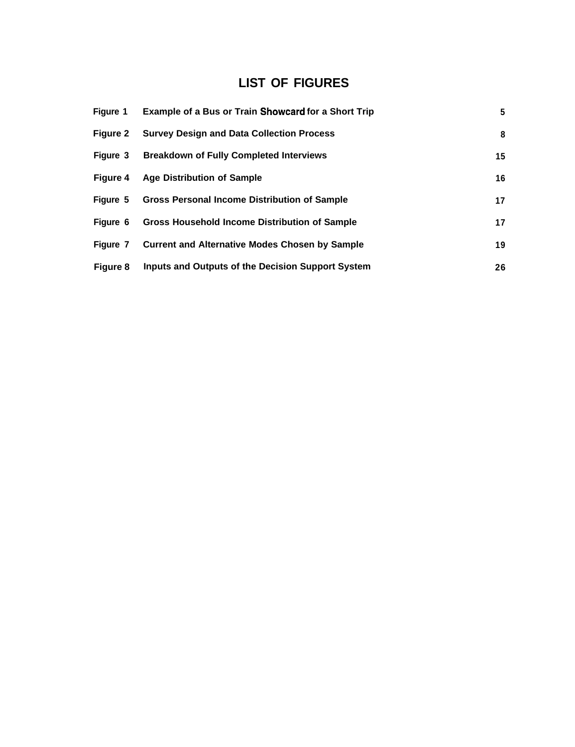## **LIST OF FIGURES**

| Figure 1        | <b>Example of a Bus or Train Showcard for a Short Trip</b> | 5  |
|-----------------|------------------------------------------------------------|----|
| <b>Figure 2</b> | <b>Survey Design and Data Collection Process</b>           | 8  |
|                 | Figure 3 Breakdown of Fully Completed Interviews           | 15 |
| Figure 4        | <b>Age Distribution of Sample</b>                          | 16 |
| Figure 5        | <b>Gross Personal Income Distribution of Sample</b>        | 17 |
| Figure 6        | <b>Gross Household Income Distribution of Sample</b>       | 17 |
| Figure 7        | <b>Current and Alternative Modes Chosen by Sample</b>      | 19 |
| Figure 8        | Inputs and Outputs of the Decision Support System          | 26 |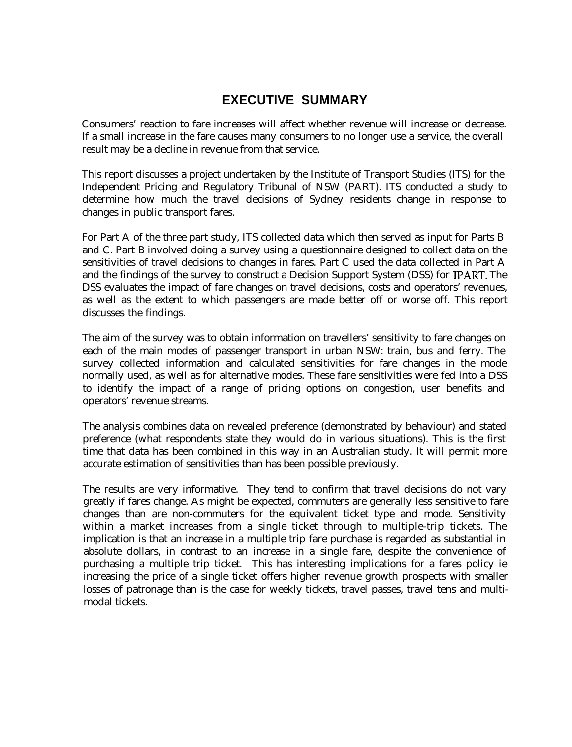### **EXECUTIVE SUMMARY**

Consumers' reaction to fare increases will affect whether revenue will increase or decrease. If a small increase in the fare causes many consumers to no longer use a service, the overall result may be a decline in revenue from that service.

This report discusses a project undertaken by the Institute of Transport Studies (ITS) for the Independent Pricing and Regulatory Tribunal of NSW (PART). ITS conducted a study to determine how much the travel decisions of Sydney residents change in response to changes in public transport fares.

For Part A of the three part study, ITS collected data which then served as input for Parts B and C. Part B involved doing a survey using a questionnaire designed to collect data on the sensitivities of travel decisions to changes in fares. Part C used the data collected in Part A and the findings of the survey to construct a Decision Support System (DSS) for IPART. The DSS evaluates the impact of fare changes on travel decisions, costs and operators' revenues, as well as the extent to which passengers are made better off or worse off. This report discusses the findings.

The aim of the survey was to obtain information on travellers' sensitivity to fare changes on each of the main modes of passenger transport in urban NSW: train, bus and ferry. The survey collected information and calculated sensitivities for fare changes in the mode normally used, as well as for alternative modes. These fare sensitivities were fed into a DSS to identify the impact of a range of pricing options on congestion, user benefits and operators' revenue streams.

The analysis combines data on revealed preference (demonstrated by behaviour) and stated preference (what respondents state they would do in various situations). This is the first time that data has been combined in this way in an Australian study. It will permit more accurate estimation of sensitivities than has been possible previously.

The results are very informative. They tend to confirm that travel decisions do not vary greatly if fares change. As might be expected, commuters are generally less sensitive to fare changes than are non-commuters for the equivalent ticket type and mode. Sensitivity within a market increases from a single ticket through to multiple-trip tickets. The implication is that an increase in a multiple trip fare purchase is regarded as substantial in absolute dollars, in contrast to an increase in a single fare, despite the convenience of purchasing a multiple trip ticket. This has interesting implications for a fares policy ie increasing the price of a single ticket offers higher revenue growth prospects with smaller losses of patronage than is the case for weekly tickets, travel passes, travel tens and multimodal tickets.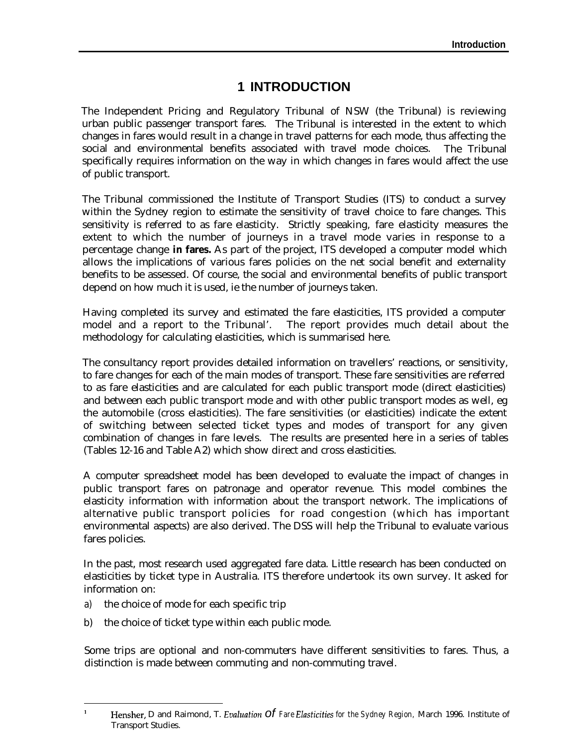### **1 INTRODUCTION**

The Independent Pricing and Regulatory Tribunal of NSW (the Tribunal) is reviewing urban public passenger transport fares. The Tribunal is interested in the extent to which changes in fares would result in a change in travel patterns for each mode, thus affecting the social and environmental benefits associated with travel mode choices. The Tribunal specifically requires information on the way in which changes in fares would affect the use of public transport.

The Tribunal commissioned the Institute of Transport Studies (ITS) to conduct a survey within the Sydney region to estimate the sensitivity of travel choice to fare changes. This sensitivity is referred to as fare elasticity. Strictly speaking, fare elasticity measures the extent to which the number of journeys in a travel mode varies in response to a percentage change **in fares.** As part of the project, ITS developed a computer model which allows the implications of various fares policies on the net social benefit and externality benefits to be assessed. Of course, the social and environmental benefits of public transport depend on how much it is used, ie the number of journeys taken.

Having completed its survey and estimated the fare elasticities, ITS provided a computer model and a report to the Tribunal'. The report provides much detail about the methodology for calculating elasticities, which is summarised here.

The consultancy report provides detailed information on travellers' reactions, or sensitivity, to fare changes for each of the main modes of transport. These fare sensitivities are referred to as fare elasticities and are calculated for each public transport mode (direct elasticities) and between each public transport mode and with other public transport modes as well, eg the automobile (cross elasticities). The fare sensitivities (or elasticities) indicate the extent of switching between selected ticket types and modes of transport for any given combination of changes in fare levels. The results are presented here in a series of tables (Tables 12-16 and Table A2) which show direct and cross elasticities.

A computer spreadsheet model has been developed to evaluate the impact of changes in public transport fares on patronage and operator revenue. This model combines the elasticity information with information about the transport network. The implications of alternative public transport policies for road congestion (which has important environmental aspects) are also derived. The DSS will help the Tribunal to evaluate various fares policies.

In the past, most research used aggregated fare data. Little research has been conducted on elasticities by ticket type in Australia. ITS therefore undertook its own survey. It asked for information on:

- a) the choice of mode for each specific trip
- b) the choice of ticket type within each public mode.

Some trips are optional and non-commuters have different sensitivities to fares. Thus, a distinction is made between commuting and non-commuting travel.

Hensher, D and Raimond, T. *Evaluation* Of *Fare Elasticities for the Sydney Region*, March 1996. Institute of Transport Studies.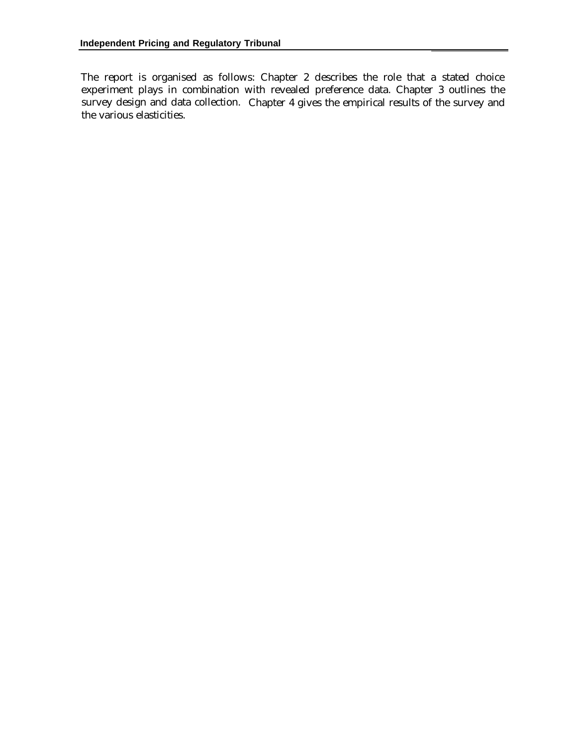The report is organised as follows: Chapter 2 describes the role that a stated choice experiment plays in combination with revealed preference data. Chapter 3 outlines the survey design and data collection. Chapter 4 gives the empirical results of the survey and the various elasticities.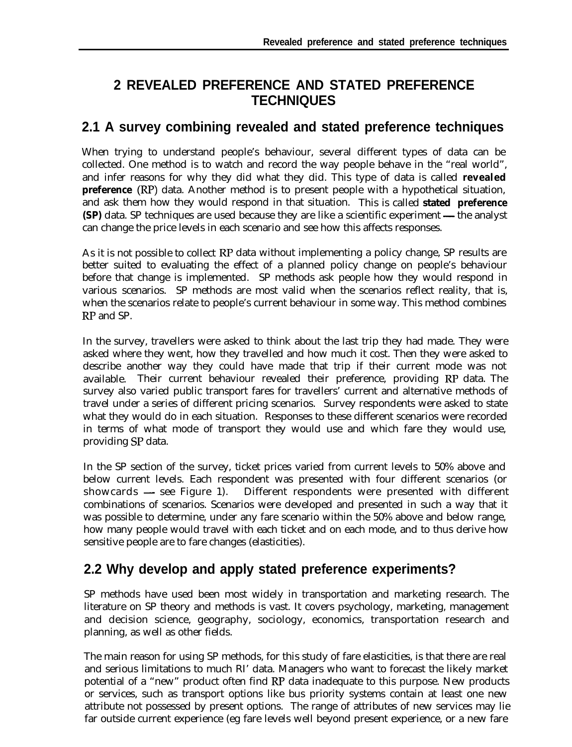## **2 REVEALED PREFERENCE AND STATED PREFERENCE TECHNIQUES**

### **2.1 A survey combining revealed and stated preference techniques**

When trying to understand people's behaviour, several different types of data can be collected. One method is to watch and record the way people behave in the "real world", and infer reasons for why they did what they did. This type of data is called **revealed preference** (RP) data. Another method is to present people with a hypothetical situation, and ask them how they would respond in that situation. This is called **stated preference**<br>(SP) data. SP techniques are used because they are like a scientific experiment — the analyst can change the price levels in each scenario and see how this affects responses.

As it is not possible to collect RP data without implementing a policy change, SP results are better suited to evaluating the effect of a planned policy change on people's behaviour before that change is implemented. SP methods ask people how they would respond in various scenarios. SP methods are most valid when the scenarios reflect reality, that is, when the scenarios relate to people's current behaviour in some way. This method combines RP and SP.

In the survey, travellers were asked to think about the last trip they had made. They were asked where they went, how they travelled and how much it cost. Then they were asked to describe another way they could have made that trip if their current mode was not available. Their current behaviour revealed their preference, providing RP data. The survey also varied public transport fares for travellers' current and alternative methods of travel under a series of different pricing scenarios. Survey respondents were asked to state what they would do in each situation. Responses to these different scenarios were recorded in terms of what mode of transport they would use and which fare they would use, providing SP data.

In the SP section of the survey, ticket prices varied from current levels to 50% above and below current levels. Each respondent was presented with four different scenarios (or showcards — see Figure 1). Different respondents were presented with different combinations of scenarios. Scenarios were developed and presented in such a way that it was possible to determine, under any fare scenario within the 50% above and below range, how many people would travel with each ticket and on each mode, and to thus derive how sensitive people are to fare changes (elasticities).

## **2.2 Why develop and apply stated preference experiments?**

SP methods have used been most widely in transportation and marketing research. The literature on SP theory and methods is vast. It covers psychology, marketing, management and decision science, geography, sociology, economics, transportation research and planning, as well as other fields.

The main reason for using SP methods, for this study of fare elasticities, is that there are real and serious limitations to much RI' data. Managers who want to forecast the likely market potential of a "new" product often find RP data inadequate to this purpose. New products or services, such as transport options like bus priority systems contain at least one new attribute not possessed by present options. The range of attributes of new services may lie far outside current experience (eg fare levels well beyond present experience, or a new fare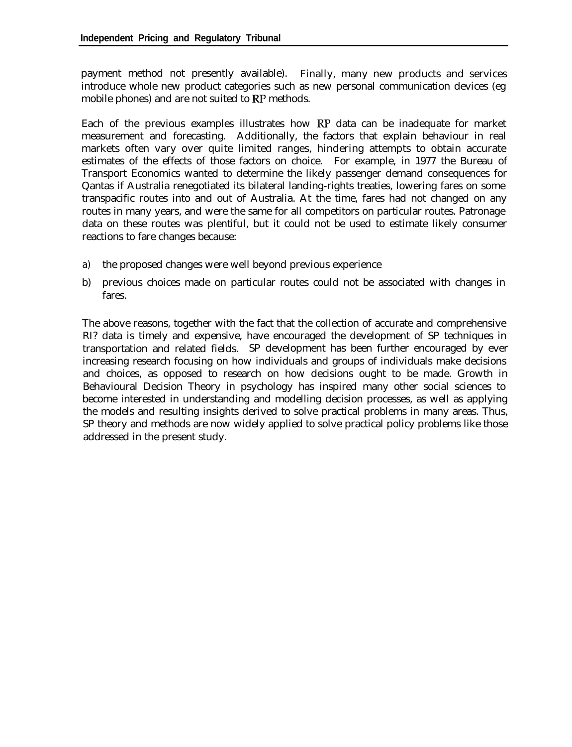payment method not presently available). Finally, many new products and services introduce whole new product categories such as new personal communication devices (eg mobile phones) and are not suited to RP methods.

Each of the previous examples illustrates how RP data can be inadequate for market measurement and forecasting. Additionally, the factors that explain behaviour in real markets often vary over quite limited ranges, hindering attempts to obtain accurate estimates of the effects of those factors on choice. For example, in 1977 the Bureau of Transport Economics wanted to determine the likely passenger demand consequences for Qantas if Australia renegotiated its bilateral landing-rights treaties, lowering fares on some transpacific routes into and out of Australia. At the time, fares had not changed on any routes in many years, and were the same for all competitors on particular routes. Patronage data on these routes was plentiful, but it could not be used to estimate likely consumer reactions to fare changes because:

- a) the proposed changes were well beyond previous experience
- b) previous choices made on particular routes could not be associated with changes in fares.

The above reasons, together with the fact that the collection of accurate and comprehensive RI? data is timely and expensive, have encouraged the development of SP techniques in transportation and related fields. SP development has been further encouraged by ever increasing research focusing on how individuals and groups of individuals make decisions and choices, as opposed to research on how decisions ought to be made. Growth in Behavioural Decision Theory in psychology has inspired many other social sciences to become interested in understanding and modelling decision processes, as well as applying the models and resulting insights derived to solve practical problems in many areas. Thus, SP theory and methods are now widely applied to solve practical policy problems like those addressed in the present study.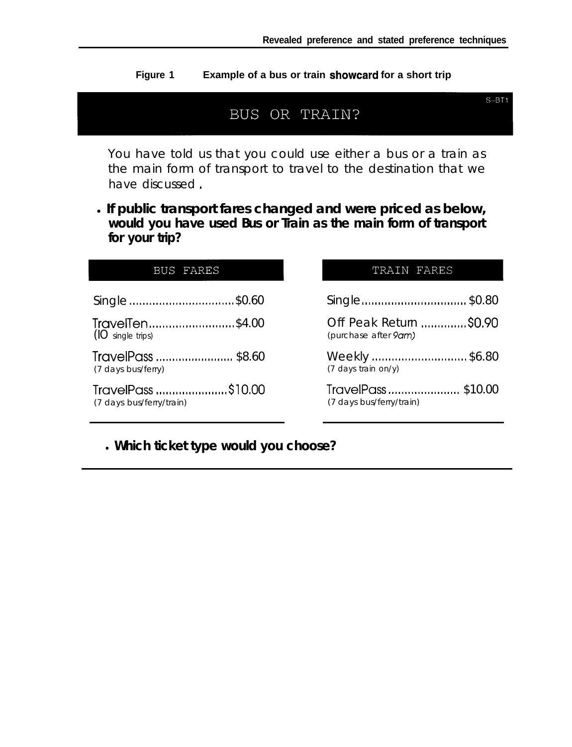$S-BT1$ 

**Figure 1 Example of a bus or train showcard for a short trip**



You have told us that you could use either a bus or a train as the main form of transport to travel to the destination that we have discussed.

<sup>l</sup>**If public transport fares changed and were priced as below, would you have used Bus or Train as the main form of transport for your trip?**

| BUS FARES                | TRAIN FARES                   |
|--------------------------|-------------------------------|
| Single \$0.60            | Single\$0.80                  |
| TravelTen\$4.00          | Off Peak Return \$0.90        |
| (IO single trips)        | (purchase after 9am)          |
| TravelPass  \$8.60       | Weekly \$6.80                 |
| (7 days bus/ferry)       | $(7 \text{ days train on/y})$ |
| TravelPass \$10.00       | TravelPass\$10.00             |
| (7 days bus/ferry/train) | (7 days bus/ferry/train)      |

l **Which ticket type would you choose?**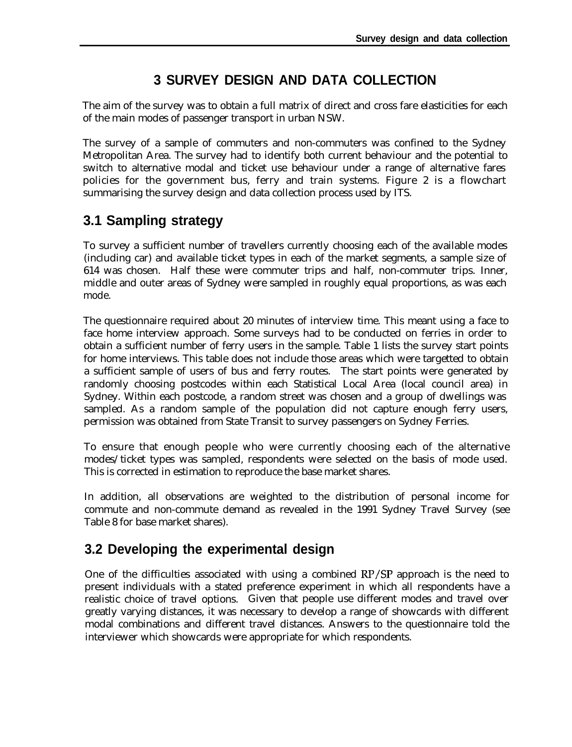## **3 SURVEY DESIGN AND DATA COLLECTION**

The aim of the survey was to obtain a full matrix of direct and cross fare elasticities for each of the main modes of passenger transport in urban NSW.

The survey of a sample of commuters and non-commuters was confined to the Sydney Metropolitan Area. The survey had to identify both current behaviour and the potential to switch to alternative modal and ticket use behaviour under a range of alternative fares policies for the government bus, ferry and train systems. Figure 2 is a flowchart summarising the survey design and data collection process used by ITS.

## **3.1 Sampling strategy**

To survey a sufficient number of travellers currently choosing each of the available modes (including car) and available ticket types in each of the market segments, a sample size of 614 was chosen. Half these were commuter trips and half, non-commuter trips. Inner, middle and outer areas of Sydney were sampled in roughly equal proportions, as was each mode.

The questionnaire required about 20 minutes of interview time. This meant using a face to face home interview approach. Some surveys had to be conducted on ferries in order to obtain a sufficient number of ferry users in the sample. Table 1 lists the survey start points for home interviews. This table does not include those areas which were targetted to obtain a sufficient sample of users of bus and ferry routes. The start points were generated by randomly choosing postcodes within each Statistical Local Area (local council area) in Sydney. Within each postcode, a random street was chosen and a group of dwellings was sampled. As a random sample of the population did not capture enough ferry users, permission was obtained from State Transit to survey passengers on Sydney Ferries.

To ensure that enough people who were currently choosing each of the alternative modes/ticket types was sampled, respondents were selected on the basis of mode used. This is corrected in estimation to reproduce the base market shares.

In addition, all observations are weighted to the distribution of personal income for commute and non-commute demand as revealed in the 1991 Sydney Travel Survey (see Table 8 for base market shares).

## **3.2 Developing the experimental design**

One of the difficulties associated with using a combined RP/SP approach is the need to present individuals with a stated preference experiment in which all respondents have a realistic choice of travel options. Given that people use different modes and travel over greatly varying distances, it was necessary to develop a range of showcards with different modal combinations and different travel distances. Answers to the questionnaire told the interviewer which showcards were appropriate for which respondents.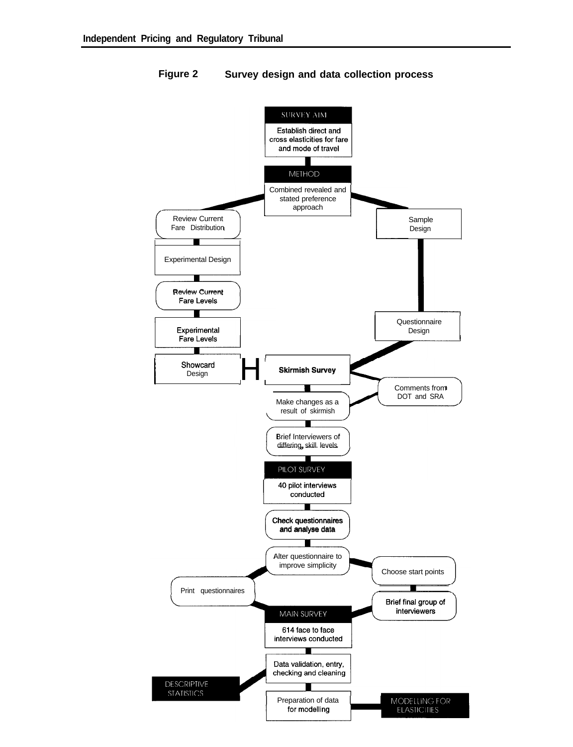

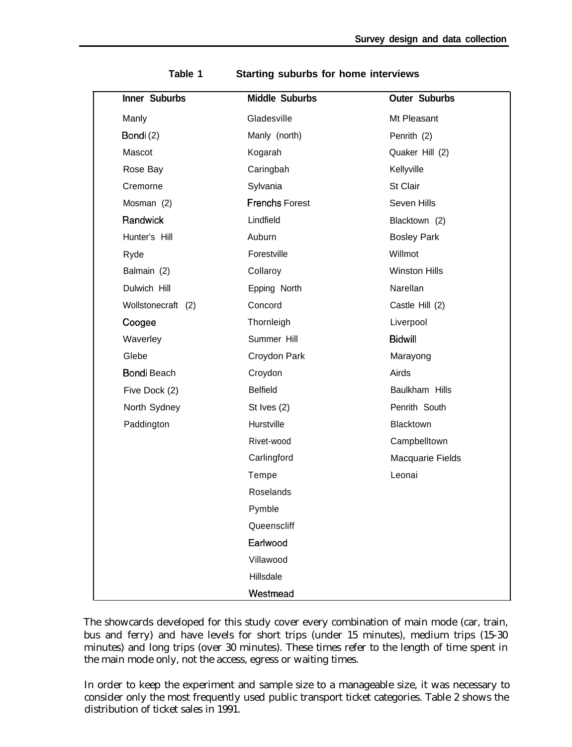| Inner Suburbs      | <b>Middle Suburbs</b> | <b>Outer Suburbs</b> |
|--------------------|-----------------------|----------------------|
| Manly              | Gladesville           | Mt Pleasant          |
| Bondi(2)           | Manly (north)         | Penrith (2)          |
| Mascot             | Kogarah               | Quaker Hill (2)      |
| Rose Bay           | Caringbah             | Kellyville           |
| Cremorne           | Sylvania              | St Clair             |
| Mosman (2)         | <b>Frenchs Forest</b> | Seven Hills          |
| Randwick           | Lindfield             | Blacktown (2)        |
| Hunter's Hill      | Auburn                | <b>Bosley Park</b>   |
| Ryde               | Forestville           | Willmot              |
| Balmain (2)        | Collaroy              | <b>Winston Hills</b> |
| Dulwich Hill       | Epping North          | Narellan             |
| Wollstonecraft (2) | Concord               | Castle Hill (2)      |
| Coogee             | Thornleigh            | Liverpool            |
| Waverley           | Summer Hill           | <b>Bidwill</b>       |
| Glebe              | Croydon Park          | Marayong             |
| <b>Bondi Beach</b> | Croydon               | Airds                |
| Five Dock (2)      | <b>Belfield</b>       | Baulkham Hills       |
| North Sydney       | St Ives $(2)$         | Penrith South        |
| Paddington         | Hurstville            | Blacktown            |
|                    | Rivet-wood            | Campbelltown         |
|                    | Carlingford           | Macquarie Fields     |
|                    | Tempe                 | Leonai               |
|                    | <b>Roselands</b>      |                      |
|                    | Pymble                |                      |
|                    | Queenscliff           |                      |
|                    | Earlwood              |                      |
|                    | Villawood             |                      |
|                    | Hillsdale             |                      |
|                    | Westmead              |                      |

**Table 1 Starting suburbs for home interviews**

The showcards developed for this study cover every combination of main mode (car, train, bus and ferry) and have levels for short trips (under 15 minutes), medium trips (15-30 minutes) and long trips (over 30 minutes). These times refer to the length of time spent in the main mode only, not the access, egress or waiting times.

In order to keep the experiment and sample size to a manageable size, it was necessary to consider only the most frequently used public transport ticket categories. Table 2 shows the distribution of ticket sales in 1991.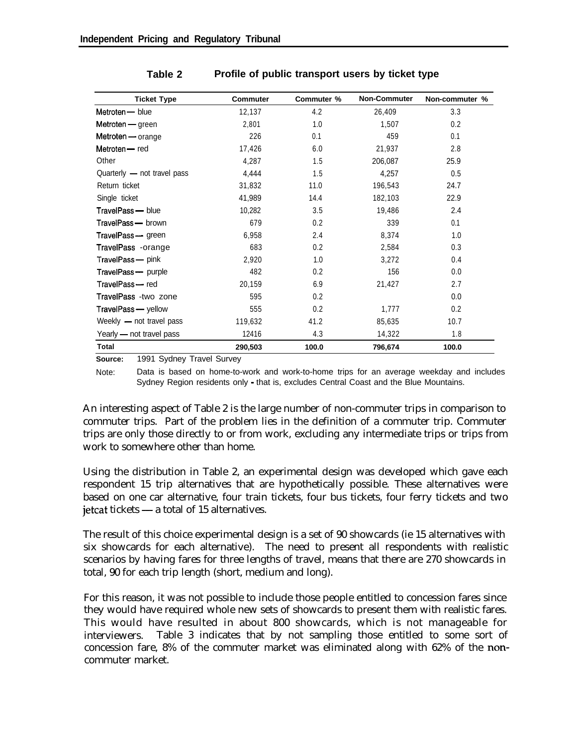| <b>Ticket Type</b>          | <b>Commuter</b> | Commuter % | <b>Non-Commuter</b> | Non-commuter % |
|-----------------------------|-----------------|------------|---------------------|----------------|
| Metroten - blue             | 12,137          | 4.2        | 26,409              | 3.3            |
| Metroten - green            | 2,801           | 1.0        | 1,507               | 0.2            |
| Metroten — orange           | 226             | 0.1        | 459                 | 0.1            |
| Metroten - red              | 17,426          | 6.0        | 21,937              | 2.8            |
| Other                       | 4,287           | 1.5        | 206,087             | 25.9           |
| Quarterly - not travel pass | 4,444           | 1.5        | 4,257               | 0.5            |
| Return ticket               | 31,832          | 11.0       | 196,543             | 24.7           |
| Single ticket               | 41,989          | 14.4       | 182,103             | 22.9           |
| TravelPass - blue           | 10,282          | 3.5        | 19,486              | 2.4            |
| TravelPass - brown          | 679             | 0.2        | 339                 | 0.1            |
| TravelPass - green          | 6,958           | 2.4        | 8,374               | 1.0            |
| TravelPass -orange          | 683             | 0.2        | 2,584               | 0.3            |
| TravelPass - pink           | 2,920           | 1.0        | 3,272               | 0.4            |
| TravelPass - purple         | 482             | 0.2        | 156                 | 0.0            |
| TravelPass - red            | 20,159          | 6.9        | 21,427              | 2.7            |
| TravelPass -two zone        | 595             | 0.2        |                     | 0.0            |
| TravelPass - yellow         | 555             | 0.2        | 1,777               | 0.2            |
| Weekly - not travel pass    | 119,632         | 41.2       | 85,635              | 10.7           |
| Yearly - not travel pass    | 12416           | 4.3        | 14,322              | 1.8            |
| <b>Total</b>                | 290,503         | 100.0      | 796,674             | 100.0          |

#### **Table 2 Profile of public transport users by ticket type**

**Source:** 1991 Sydney Travel Survey

Note: Data is based on home-to-work and work-to-home trips for an average weekday and includes Sydney Region residents only - that is, excludes Central Coast and the Blue Mountains.

An interesting aspect of Table 2 is the large number of non-commuter trips in comparison to commuter trips. Part of the problem lies in the definition of a commuter trip. Commuter trips are only those directly to or from work, excluding any intermediate trips or trips from work to somewhere other than home.

Using the distribution in Table 2, an experimental design was developed which gave each respondent 15 trip alternatives that are hypothetically possible. These alternatives were based on one car alternative, four train tickets, four bus tickets, four ferry tickets and two jetcat tickets — a total of 15 alternatives.

The result of this choice experimental design is a set of 90 showcards (ie 15 alternatives with six showcards for each alternative). The need to present all respondents with realistic scenarios by having fares for three lengths of travel, means that there are 270 showcards in total, 90 for each trip length (short, medium and long).

For this reason, it was not possible to include those people entitled to concession fares since they would have required whole new sets of showcards to present them with realistic fares. This would have resulted in about 800 showcards, which is not manageable for interviewers. Table 3 indicates that by not sampling those entitled to some sort of concession fare, 8% of the commuter market was eliminated along with 62% of the noncommuter market.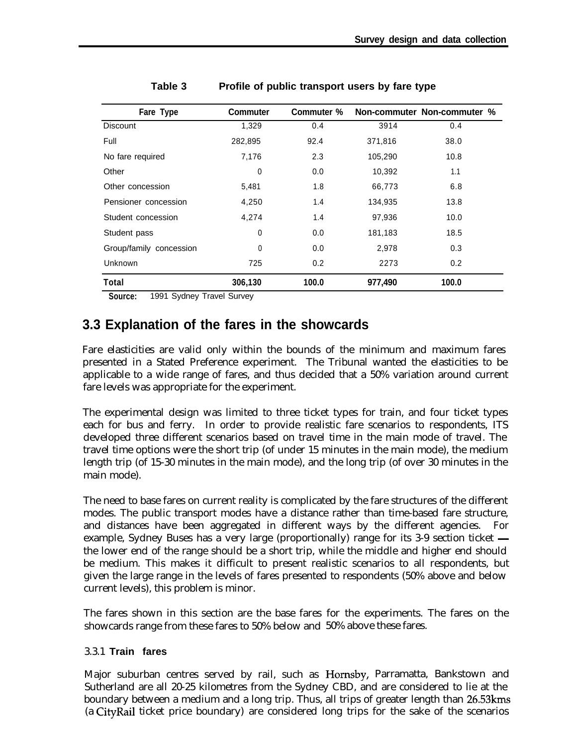| Fare Type               | <b>Commuter</b> | Commuter % |         | Non-commuter Non-commuter % |
|-------------------------|-----------------|------------|---------|-----------------------------|
| <b>Discount</b>         | 1,329           | 0.4        | 3914    | 0.4                         |
| Full                    | 282,895         | 92.4       | 371,816 | 38.0                        |
| No fare required        | 7,176           | 2.3        | 105,290 | 10.8                        |
| Other                   | 0               | 0.0        | 10,392  | 1.1                         |
| Other concession        | 5,481           | 1.8        | 66,773  | 6.8                         |
| Pensioner concession    | 4,250           | 1.4        | 134,935 | 13.8                        |
| Student concession      | 4,274           | 1.4        | 97,936  | 10.0                        |
| Student pass            | 0               | 0.0        | 181,183 | 18.5                        |
| Group/family concession | 0               | 0.0        | 2,978   | 0.3                         |
| Unknown                 | 725             | 0.2        | 2273    | 0.2                         |
| Total                   | 306,130         | 100.0      | 977,490 | 100.0                       |

| Table 3 | Profile of public transport users by fare type |  |  |
|---------|------------------------------------------------|--|--|
|---------|------------------------------------------------|--|--|

**Source:** 1991 Sydney Travel Survey

### **3.3 Explanation of the fares in the showcards**

Fare elasticities are valid only within the bounds of the minimum and maximum fares presented in a Stated Preference experiment. The Tribunal wanted the elasticities to be applicable to a wide range of fares, and thus decided that a 50% variation around current fare levels was appropriate for the experiment.

The experimental design was limited to three ticket types for train, and four ticket types each for bus and ferry. In order to provide realistic fare scenarios to respondents, ITS developed three different scenarios based on travel time in the main mode of travel. The travel time options were the short trip (of under 15 minutes in the main mode), the medium length trip (of 15-30 minutes in the main mode), and the long trip (of over 30 minutes in the main mode).

The need to base fares on current reality is complicated by the fare structures of the different modes. The public transport modes have a distance rather than time-based fare structure, and distances have been aggregated in different ways by the different agencies. For example, Sydney Buses has a very large (proportionally) range for its 3-9 section ticket  $$ the lower end of the range should be a short trip, while the middle and higher end should be medium. This makes it difficult to present realistic scenarios to all respondents, but given the large range in the levels of fares presented to respondents (50% above and below current levels), this problem is minor.

The fares shown in this section are the base fares for the experiments. The fares on the showcards range from these fares to 50% below and 50% above these fares.

#### 3.3.1 **Train fares**

Major suburban centres served by rail, such as Hornsby, Parramatta, Bankstown and Sutherland are all 20-25 kilometres from the Sydney CBD, and are considered to lie at the boundary between a medium and a long trip. Thus, all trips of greater length than 26.53kms (a CityRail ticket price boundary) are considered long trips for the sake of the scenarios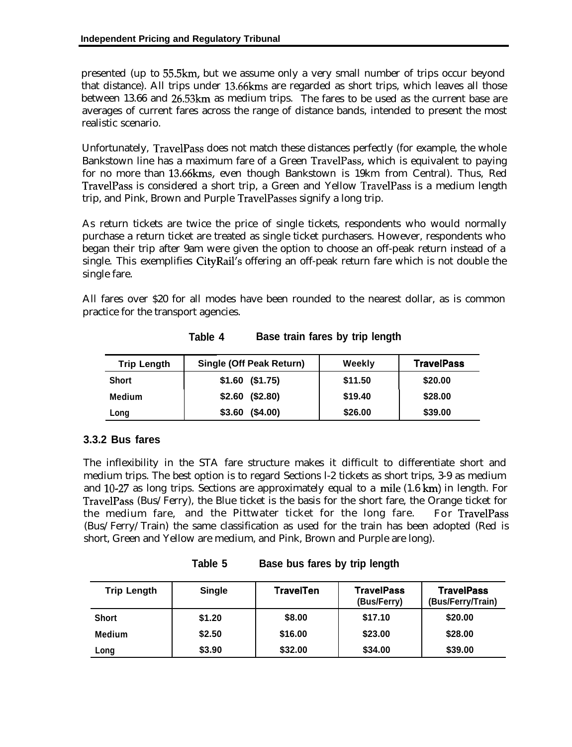presented (up to 55.5km, but we assume only a very small number of trips occur beyond that distance). All trips under 13.66kms are regarded as short trips, which leaves all those between 13.66 and 26.53km as medium trips. The fares to be used as the current base are averages of current fares across the range of distance bands, intended to present the most realistic scenario.

Unfortunately, TravelPass does not match these distances perfectly (for example, the whole Bankstown line has a maximum fare of a Green TravelPass, which is equivalent to paying for no more than 13.66kms, even though Bankstown is 19km from Central). Thus, Red TravelPass is considered a short trip, a Green and Yellow TravelPass is a medium length trip, and Pink, Brown and Purple TravelPasses signify a long trip.

As return tickets are twice the price of single tickets, respondents who would normally purchase a return ticket are treated as single ticket purchasers. However, respondents who began their trip after 9am were given the option to choose an off-peak return instead of a single. This exemplifies CityRail's offering an off-peak return fare which is not double the single fare.

All fares over \$20 for all modes have been rounded to the nearest dollar, as is common practice for the transport agencies.

| <b>Trip Length</b> | <b>Single (Off Peak Return)</b> | Weekly  | <b>TravelPass</b> |
|--------------------|---------------------------------|---------|-------------------|
| <b>Short</b>       | $$1.60$ (\$1.75)                | \$11.50 | \$20.00           |
| <b>Medium</b>      | $$2.60$ (\$2.80)                | \$19.40 | \$28.00           |
| Long               | $$3.60$ (\$4.00)                | \$26.00 | \$39.00           |

**Table 4 Base train fares by trip length**

### **3.3.2 Bus fares**

The inflexibility in the STA fare structure makes it difficult to differentiate short and medium trips. The best option is to regard Sections l-2 tickets as short trips, 3-9 as medium and 10-27 as long trips. Sections are approximately equal to a mile  $(1.6 \text{ km})$  in length. For TravelPass (Bus/Ferry), the Blue ticket is the basis for the short fare, the Orange ticket for the medium fare, and the Pittwater ticket for the long fare. For TravelPass (Bus/Ferry/Train) the same classification as used for the train has been adopted (Red is short, Green and Yellow are medium, and Pink, Brown and Purple are long).

| <b>Trip Length</b> | <b>Single</b> | <b>TravelTen</b> | <b>TravelPass</b><br>(Bus/Ferry) | <b>TravelPass</b><br>(Bus/Ferry/Train) |
|--------------------|---------------|------------------|----------------------------------|----------------------------------------|
| <b>Short</b>       | \$1.20        | \$8.00           | \$17.10                          | \$20.00                                |
| <b>Medium</b>      | \$2.50        | \$16.00          | \$23.00                          | \$28.00                                |
| Long               | \$3.90        | \$32.00          | \$34.00                          | \$39.00                                |

**Table 5 Base bus fares by trip length**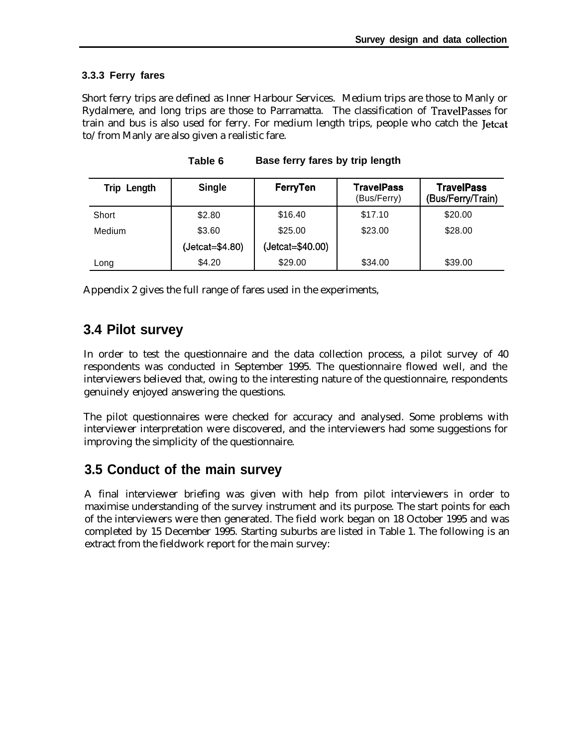#### **3.3.3 Ferry fares**

Short ferry trips are defined as Inner Harbour Services. Medium trips are those to Manly or Rydalmere, and long trips are those to Parramatta. The classification of TravelPasses for train and bus is also used for ferry. For medium length trips, people who catch the Jetcat to/from Manly are also given a realistic fare.

| Length<br>Trip | <b>Single</b>   | FerryTen         | <b>TravelPass</b><br>(Bus/Ferry) | <b>TravelPass</b><br>(Bus/Ferry/Train) |
|----------------|-----------------|------------------|----------------------------------|----------------------------------------|
| Short          | \$2.80          | \$16.40          | \$17.10                          | \$20.00                                |
| Medium         | \$3.60          | \$25.00          | \$23.00                          | \$28.00                                |
|                | (Jetcat=\$4.80) | (Jetcat=\$40.00) |                                  |                                        |
| Long           | \$4.20          | \$29.00          | \$34.00                          | \$39.00                                |

**Table 6 Base ferry fares by trip length**

Appendix 2 gives the full range of fares used in the experiments,

### **3.4 Pilot survey**

In order to test the questionnaire and the data collection process, a pilot survey of 40 respondents was conducted in September 1995. The questionnaire flowed well, and the interviewers believed that, owing to the interesting nature of the questionnaire, respondents genuinely enjoyed answering the questions.

The pilot questionnaires were checked for accuracy and analysed. Some problems with interviewer interpretation were discovered, and the interviewers had some suggestions for improving the simplicity of the questionnaire.

### **3.5 Conduct of the main survey**

A final interviewer briefing was given with help from pilot interviewers in order to maximise understanding of the survey instrument and its purpose. The start points for each of the interviewers were then generated. The field work began on 18 October 1995 and was completed by 15 December 1995. Starting suburbs are listed in Table 1. The following is an extract from the fieldwork report for the main survey: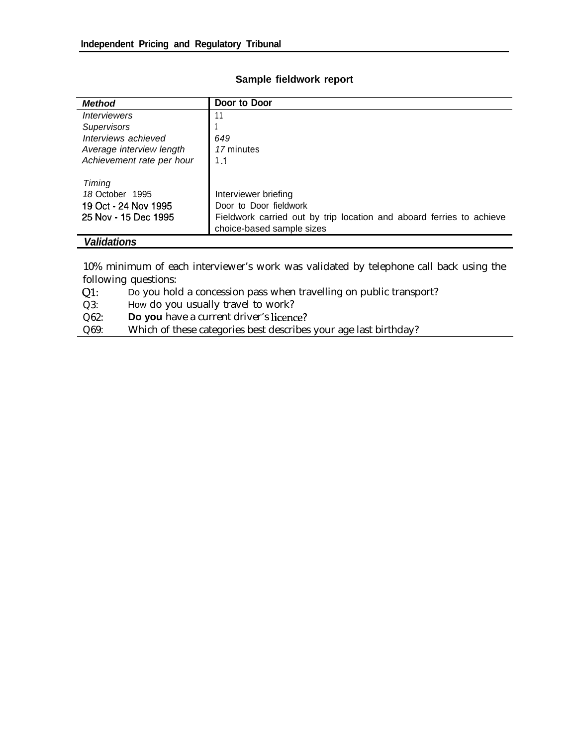| <b>Method</b>                                                             | Door to Door                                                                                                                                        |
|---------------------------------------------------------------------------|-----------------------------------------------------------------------------------------------------------------------------------------------------|
| <i><b>Interviewers</b></i>                                                |                                                                                                                                                     |
| <b>Supervisors</b>                                                        |                                                                                                                                                     |
| Interviews achieved                                                       | 649                                                                                                                                                 |
| Average interview length                                                  | 17 minutes                                                                                                                                          |
| Achievement rate per hour                                                 | 1.1                                                                                                                                                 |
| Timing<br>18 October 1995<br>19 Oct - 24 Nov 1995<br>25 Nov - 15 Dec 1995 | Interviewer briefing<br>Door to Door fieldwork<br>Fieldwork carried out by trip location and aboard ferries to achieve<br>choice-based sample sizes |

#### **Sample fieldwork report**

*Validations*

10% minimum of each interviewer's work was validated by telephone call back using the following questions:

Ql: Do you hold a concession pass when travelling on public transport?

Q3: How do you usually travel to work?

Q62: **Do you** have a current driver's licence?

Q69: Which of these categories best describes your age last birthday?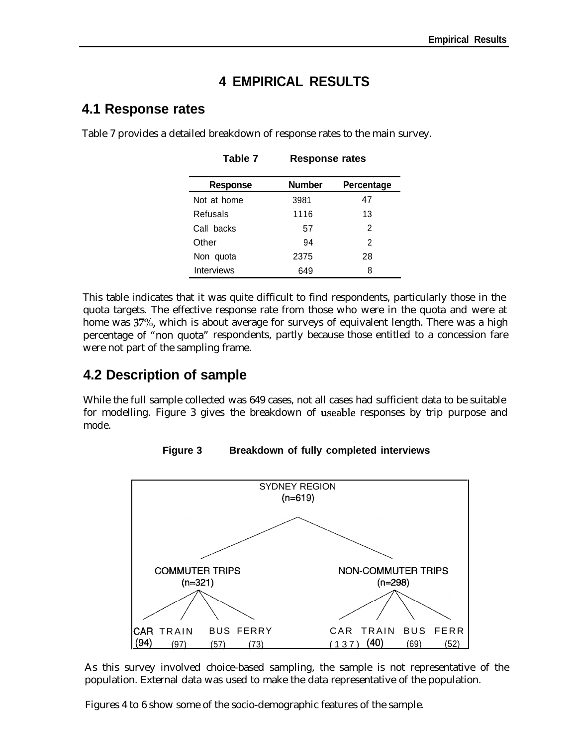## **4 EMPIRICAL RESULTS**

### **4.1 Response rates**

| <b>Response</b> | <b>Number</b> | Percentage |  |  |  |  |  |
|-----------------|---------------|------------|--|--|--|--|--|
| Not at home     | 3981          | 47         |  |  |  |  |  |
| Refusals        | 1116          | 13         |  |  |  |  |  |
| Call backs      | 57            | 2          |  |  |  |  |  |
| Other           | 94            | 2          |  |  |  |  |  |
| Non quota       | 2375          | 28         |  |  |  |  |  |
| Interviews      | 649           | 8          |  |  |  |  |  |

**Table 7 Response rates**

Table 7 provides a detailed breakdown of response rates to the main survey.

This table indicates that it was quite difficult to find respondents, particularly those in the quota targets. The effective response rate from those who were in the quota and were at home was 37%, which is about average for surveys of equivalent length. There was a high percentage of "non quota" respondents, partly because those entitled to a concession fare were not part of the sampling frame.

## **4.2 Description of sample**

While the full sample collected was 649 cases, not all cases had sufficient data to be suitable for modelling. Figure 3 gives the breakdown of useable responses by trip purpose and mode.

**Figure 3 Breakdown of fully completed interviews**



As this survey involved choice-based sampling, the sample is not representative of the population. External data was used to make the data representative of the population.

Figures 4 to 6 show some of the socio-demographic features of the sample.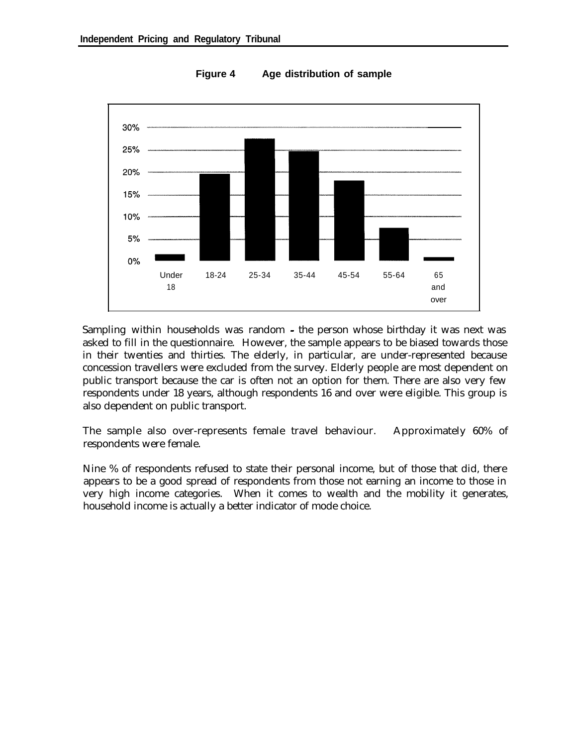

**Figure 4 Age distribution of sample**

Sampling within households was random - the person whose birthday it was next was asked to fill in the questionnaire. However, the sample appears to be biased towards those in their twenties and thirties. The elderly, in particular, are under-represented because concession travellers were excluded from the survey. Elderly people are most dependent on public transport because the car is often not an option for them. There are also very few respondents under 18 years, although respondents 16 and over were eligible. This group is also dependent on public transport.

The sample also over-represents female travel behaviour. Approximately 60% of respondents were female.

Nine % of respondents refused to state their personal income, but of those that did, there appears to be a good spread of respondents from those not earning an income to those in very high income categories. When it comes to wealth and the mobility it generates, household income is actually a better indicator of mode choice.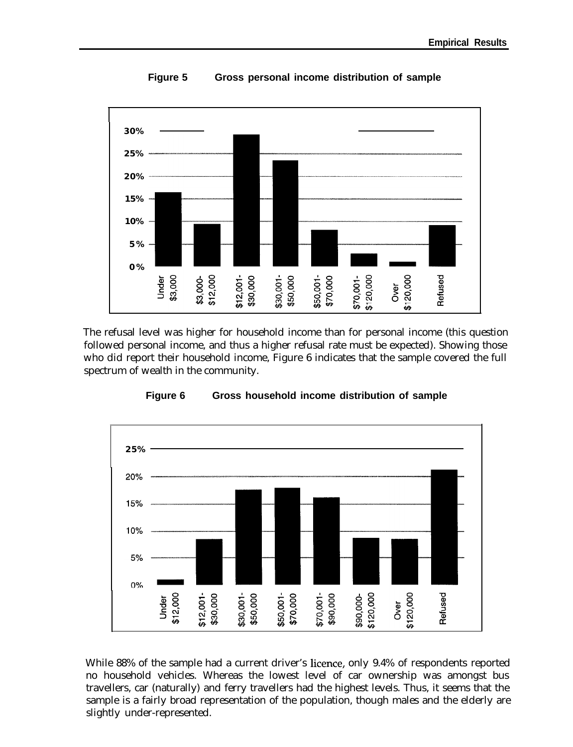

**Figure 5 Gross personal income distribution of sample**

The refusal level was higher for household income than for personal income (this question followed personal income, and thus a higher refusal rate must be expected). Showing those who did report their household income, Figure 6 indicates that the sample covered the full spectrum of wealth in the community.



**Figure 6 Gross household income distribution of sample**

While 88% of the sample had a current driver's licence, only 9.4% of respondents reported no household vehicles. Whereas the lowest level of car ownership was amongst bus travellers, car (naturally) and ferry travellers had the highest levels. Thus, it seems that the sample is a fairly broad representation of the population, though males and the elderly are slightly under-represented.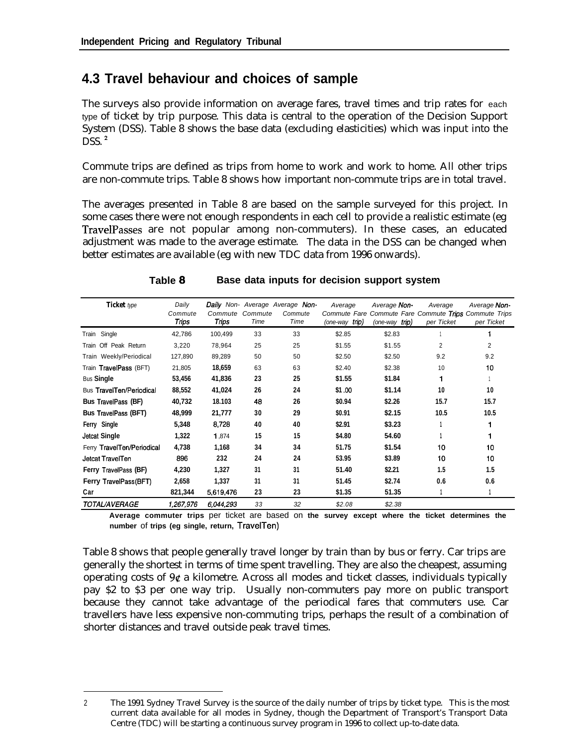## **4.3 Travel behaviour and choices of sample**

The surveys also provide information on average fares, travel times and trip rates for each type of ticket by trip purpose. This data is central to the operation of the Decision Support System (DSS). Table 8 shows the base data (excluding elasticities) which was input into the  $\overline{D}SS.$ <sup>2</sup>

Commute trips are defined as trips from home to work and work to home. All other trips are non-commute trips. Table 8 shows how important non-commute trips are in total travel.

The averages presented in Table 8 are based on the sample surveyed for this project. In some cases there were not enough respondents in each cell to provide a realistic estimate (eg TravelPasses are not popular among non-commuters). In these cases, an educated adjustment was made to the average estimate. The data in the DSS can be changed when better estimates are available (eg with new TDC data from 1996 onwards).

| <b>Ticket</b> type              | Daily<br>Commute<br>Trips | Commute<br><b>Trips</b> | Commute<br>Time | <b>Daily</b> Non- Average Average Non-<br>Commute<br>Time | Average<br>Commute Fare<br>(one-way trip) | Average Non-<br>(one-way trip) | Average<br>per Ticket | Average Non-<br>Commute Fare Commute Trips Commute Trips<br>per Ticket |
|---------------------------------|---------------------------|-------------------------|-----------------|-----------------------------------------------------------|-------------------------------------------|--------------------------------|-----------------------|------------------------------------------------------------------------|
| Train Single                    | 42,786                    | 100,499                 | 33              | 33                                                        | \$2.85                                    | \$2.83                         |                       |                                                                        |
| Train Off Peak Return           | 3,220                     | 78,964                  | 25              | 25                                                        | \$1.55                                    | \$1.55                         | 2                     | $\overline{2}$                                                         |
| Train Weekly/Periodical         | 127,890                   | 89,289                  | 50              | 50                                                        | \$2.50                                    | \$2.50                         | 9.2                   | 9.2                                                                    |
| Train TravelPass (BFT)          | 21,805                    | 18,659                  | 63              | 63                                                        | \$2.40                                    | \$2.38                         | 10                    | 10                                                                     |
| <b>Bus Single</b>               | 53,456                    | 41,836                  | 23              | 25                                                        | \$1.55                                    | \$1.84                         |                       |                                                                        |
| <b>Bus TravelTen/Periodical</b> | 88,552                    | 41,024                  | 26              | 24                                                        | \$1.00                                    | \$1.14                         | 10                    | 10                                                                     |
| <b>Bus TravelPass (BF)</b>      | 40,732                    | 18.103                  | 48              | 26                                                        | \$0.94                                    | \$2.26                         | 15.7                  | 15.7                                                                   |
| <b>Bus TravelPass (BFT)</b>     | 48,999                    | 21,777                  | 30              | 29                                                        | \$0.91                                    | \$2.15                         | 10.5                  | 10.5                                                                   |
| Ferry Single                    | 5,348                     | 8.728                   | 40              | 40                                                        | \$2.91                                    | \$3.23                         |                       |                                                                        |
| <b>Jetcat Single</b>            | 1,322                     | 1,874                   | 15              | 15                                                        | \$4.80                                    | 54.60                          |                       |                                                                        |
| Ferry TravelTen/Periodical      | 4,738                     | 1,168                   | 34              | 34                                                        | 51.75                                     | \$1.54                         | 10                    | 10                                                                     |
| Jetcat TravelTen                | 896                       | 232                     | 24              | 24                                                        | 53.95                                     | \$3.89                         | 10                    | 10                                                                     |
| Ferry TravelPass (BF)           | 4,230                     | 1,327                   | 31              | 31                                                        | 51.40                                     | \$2.21                         | 1.5                   | 1.5                                                                    |
| Ferry TravelPass (BFT)          | 2,658                     | 1,337                   | 31              | 31                                                        | 51.45                                     | \$2.74                         | 0.6                   | 0.6                                                                    |
| Car                             | 821,344                   | 5,619,476               | 23              | 23                                                        | \$1.35                                    | 51.35                          |                       |                                                                        |
| <b>TOTAL/AVERAGE</b>            | 1,267,976                 | 6,044.293               | 33              | 32                                                        | \$2.08                                    | \$2.38                         |                       |                                                                        |

#### **Table 8 Base data inputs for decision support system**

**Average commuter trips** per ticket are based on **the survey except where the ticket determines the number** of **trips (eg single, return, TravelTen)**

Table 8 shows that people generally travel longer by train than by bus or ferry. Car trips are generally the shortest in terms of time spent travelling. They are also the cheapest, assuming operating costs of  $9¢$  a kilometre. Across all modes and ticket classes, individuals typically pay \$2 to \$3 per one way trip. Usually non-commuters pay more on public transport because they cannot take advantage of the periodical fares that commuters use. Car travellers have less expensive non-commuting trips, perhaps the result of a combination of shorter distances and travel outside peak travel times.

<sup>2</sup> The 1991 Sydney Travel Survey is the source of the daily number of trips by ticket type. This is the most current data available for all modes in Sydney, though the Department of Transport's Transport Data Centre (TDC) will be starting a continuous survey program in 1996 to collect up-to-date data.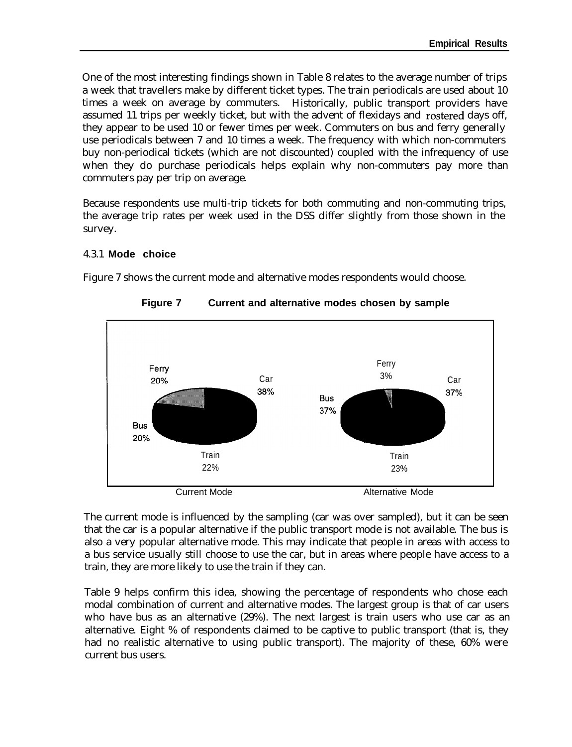One of the most interesting findings shown in Table 8 relates to the average number of trips a week that travellers make by different ticket types. The train periodicals are used about 10 times a week on average by commuters. Historically, public transport providers have assumed 11 trips per weekly ticket, but with the advent of flexidays and rostered days off, they appear to be used 10 or fewer times per week. Commuters on bus and ferry generally use periodicals between 7 and 10 times a week. The frequency with which non-commuters buy non-periodical tickets (which are not discounted) coupled with the infrequency of use when they do purchase periodicals helps explain why non-commuters pay more than commuters pay per trip on average.

Because respondents use multi-trip tickets for both commuting and non-commuting trips, the average trip rates per week used in the DSS differ slightly from those shown in the survey.

#### 4.3.1 **Mode choice**

Figure 7 shows the current mode and alternative modes respondents would choose.



**Figure 7 Current and alternative modes chosen by sample**

The current mode is influenced by the sampling (car was over sampled), but it can be seen that the car is a popular alternative if the public transport mode is not available. The bus is also a very popular alternative mode. This may indicate that people in areas with access to a bus service usually still choose to use the car, but in areas where people have access to a train, they are more likely to use the train if they can.

Table 9 helps confirm this idea, showing the percentage of respondents who chose each modal combination of current and alternative modes. The largest group is that of car users who have bus as an alternative (29%). The next largest is train users who use car as an alternative. Eight % of respondents claimed to be captive to public transport (that is, they had no realistic alternative to using public transport). The majority of these, 60% were current bus users.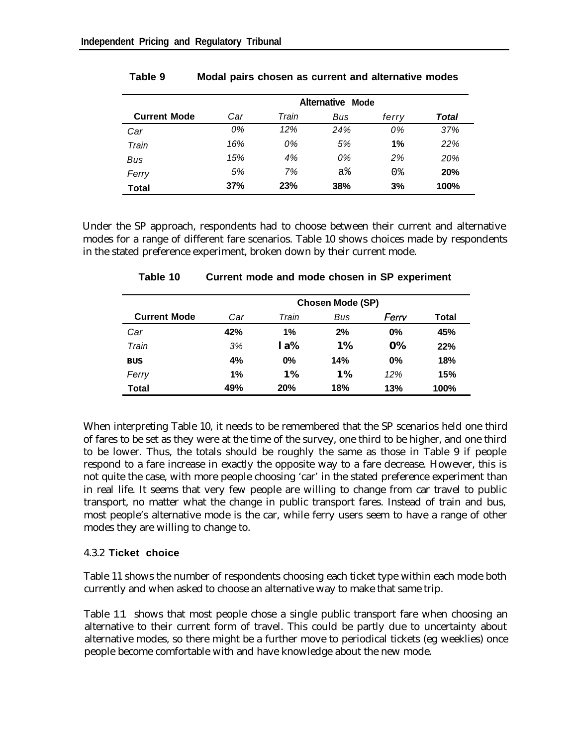|                     | Alternative Mode |       |     |                |       |  |  |  |  |
|---------------------|------------------|-------|-----|----------------|-------|--|--|--|--|
| <b>Current Mode</b> | Car              | Train | Bus | ferry          | Total |  |  |  |  |
| Car                 | 0%               | 12%   | 24% | 0%             | 37%   |  |  |  |  |
| Train               | 16%              | 0%    | 5%  | 1%             | 22%   |  |  |  |  |
| Bus                 | 15%              | 4%    | 0%  | 2%             | 20%   |  |  |  |  |
| Ferry               | 5%               | 7%    | a%  | 0 <sub>8</sub> | 20%   |  |  |  |  |
| <b>Total</b>        | 37%              | 23%   | 38% | 3%             | 100%  |  |  |  |  |

#### **Table 9 Modal pairs chosen as current and alternative modes**

Under the SP approach, respondents had to choose between their current and alternative modes for a range of different fare scenarios. Table 10 shows choices made by respondents in the stated preference experiment, broken down by their current mode.

|                     | <b>Chosen Mode (SP)</b> |       |           |       |       |  |  |  |  |  |
|---------------------|-------------------------|-------|-----------|-------|-------|--|--|--|--|--|
| <b>Current Mode</b> | Car                     | Train | Bus       | Ferrv | Total |  |  |  |  |  |
| Car                 | 42%                     | 1%    | 2%        | 0%    | 45%   |  |  |  |  |  |
| Train               | 3%                      | 1a%   | 1%        | 0%    | 22%   |  |  |  |  |  |
| <b>BUS</b>          | 4%                      | 0%    | 14%       | 0%    | 18%   |  |  |  |  |  |
| Ferry               | 1%                      | 1%    | <b>1%</b> | 12%   | 15%   |  |  |  |  |  |
| Total               | 49%                     | 20%   | 18%       | 13%   | 100%  |  |  |  |  |  |

**Table 10 Current mode and mode chosen in SP experiment**

When interpreting Table 10, it needs to be remembered that the SP scenarios held one third of fares to be set as they were at the time of the survey, one third to be higher, and one third to be lower. Thus, the totals should be roughly the same as those in Table 9 if people respond to a fare increase in exactly the opposite way to a fare decrease. However, this is not quite the case, with more people choosing 'car' in the stated preference experiment than in real life. It seems that very few people are willing to change from car travel to public transport, no matter what the change in public transport fares. Instead of train and bus, most people's alternative mode is the car, while ferry users seem to have a range of other modes they are willing to change to.

#### 4.3.2 **Ticket choice**

Table 11 shows the number of respondents choosing each ticket type within each mode both currently and when asked to choose an alternative way to make that same trip.

Table 11 shows that most people chose a single public transport fare when choosing an alternative to their current form of travel. This could be partly due to uncertainty about alternative modes, so there might be a further move to periodical tickets (eg weeklies) once people become comfortable with and have knowledge about the new mode.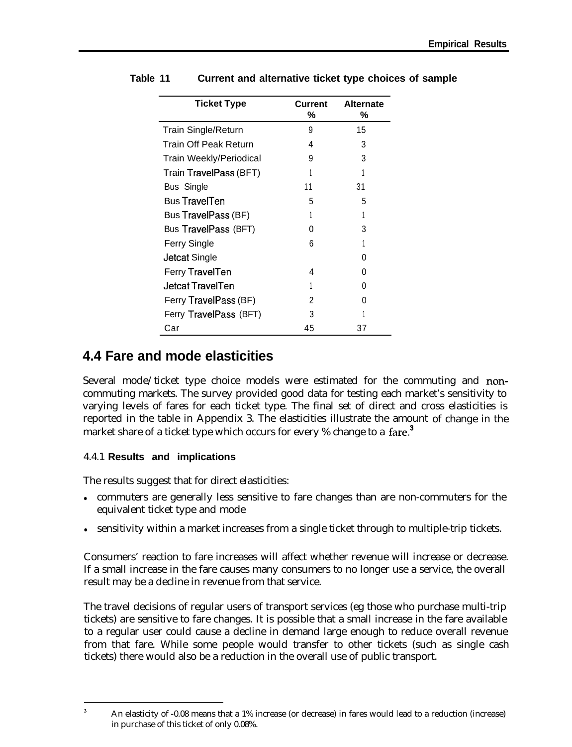| Ticket Type                | <b>Current</b><br>℅ | <b>Alternate</b><br>℅ |
|----------------------------|---------------------|-----------------------|
| <b>Train Single/Return</b> | 9                   | 15                    |
| Train Off Peak Return      | 4                   | 3                     |
| Train Weekly/Periodical    | 9                   | 3                     |
| Train TravelPass (BFT)     |                     |                       |
| <b>Bus Single</b>          | 11                  | 31                    |
| <b>Bus TravelTen</b>       | 5                   | 5                     |
| Bus TravelPass (BF)        |                     |                       |
| Bus TravelPass (BFT)       | 0                   | 3                     |
| Ferry Single               | 6                   |                       |
| Jetcat Single              |                     | 0                     |
| Ferry TravelTen            | 4                   | 0                     |
| <b>Jetcat TravelTen</b>    |                     | $\mathbf{0}$          |
| Ferry TravelPass (BF)      | 2                   | 0                     |
| Ferry TravelPass (BFT)     | 3                   |                       |
| Car                        | 45                  | 37                    |

#### **Table 11 Current and alternative ticket type choices of sample**

### **4.4 Fare and mode elasticities**

Several mode/ticket type choice models were estimated for the commuting and noncommuting markets. The survey provided good data for testing each market's sensitivity to varying levels of fares for each ticket type. The final set of direct and cross elasticities is reported in the table in Appendix 3. The elasticities illustrate the amount of change in the market share of a ticket type which occurs for every % change to a fare.<sup>3</sup>

#### 4.4.1 **Results and implications**

The results suggest that for direct elasticities:

- commuters are generally less sensitive to fare changes than are non-commuters for the equivalent ticket type and mode
- sensitivity within a market increases from a single ticket through to multiple-trip tickets.

Consumers' reaction to fare increases will affect whether revenue will increase or decrease. If a small increase in the fare causes many consumers to no longer use a service, the overall result may be a decline in revenue from that service.

The travel decisions of regular users of transport services (eg those who purchase multi-trip tickets) are sensitive to fare changes. It is possible that a small increase in the fare available to a regular user could cause a decline in demand large enough to reduce overall revenue from that fare. While some people would transfer to other tickets (such as single cash tickets) there would also be a reduction in the overall use of public transport.

<sup>&</sup>lt;sup>3</sup> An elasticity of -0.08 means that a 1% increase (or decrease) in fares would lead to a reduction (increase) in purchase of this ticket of only 0.08%.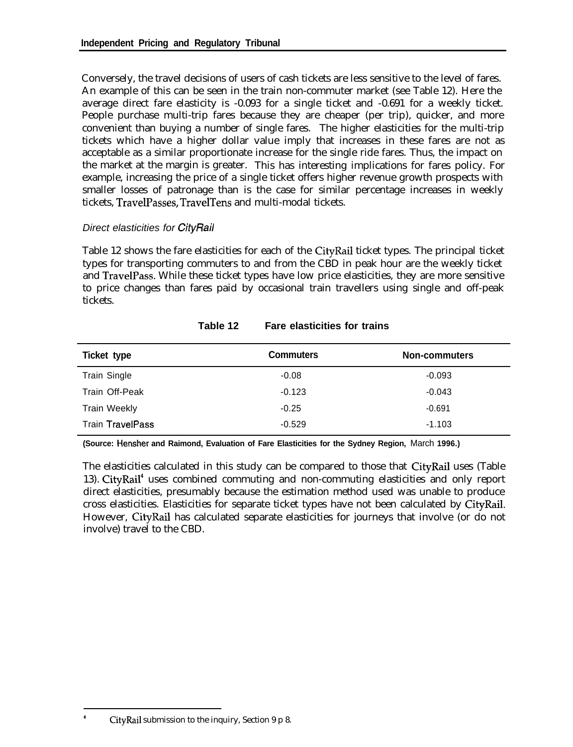Conversely, the travel decisions of users of cash tickets are less sensitive to the level of fares. An example of this can be seen in the train non-commuter market (see Table 12). Here the average direct fare elasticity is -0.093 for a single ticket and -0.691 for a weekly ticket. People purchase multi-trip fares because they are cheaper (per trip), quicker, and more convenient than buying a number of single fares. The higher elasticities for the multi-trip tickets which have a higher dollar value imply that increases in these fares are not as acceptable as a similar proportionate increase for the single ride fares. Thus, the impact on the market at the margin is greater. This has interesting implications for fares policy. For example, increasing the price of a single ticket offers higher revenue growth prospects with smaller losses of patronage than is the case for similar percentage increases in weekly tickets, TravelPasses, TravelTens and multi-modal tickets.

#### *Direct elasticities for CityRail*

Table 12 shows the fare elasticities for each of the CityRail ticket types. The principal ticket types for transporting commuters to and from the CBD in peak hour are the weekly ticket and TravelPass. While these ticket types have low price elasticities, they are more sensitive to price changes than fares paid by occasional train travellers using single and off-peak tickets.

| Ticket type             | <b>Commuters</b> | <b>Non-commuters</b> |
|-------------------------|------------------|----------------------|
| Train Single            | $-0.08$          | $-0.093$             |
| Train Off-Peak          | $-0.123$         | $-0.043$             |
| <b>Train Weekly</b>     | $-0.25$          | $-0.691$             |
| <b>Train TravelPass</b> | $-0.529$         | $-1.103$             |

#### **Table 12 Fare elasticities for trains**

**(Source: Hensher and Raimond, Evaluation of Fare Elasticities for the Sydney Region,** March **1996.)**

The elasticities calculated in this study can be compared to those that CityRail uses (Table 13). CityRail" uses combined commuting and non-commuting elasticities and only report direct elasticities, presumably because the estimation method used was unable to produce cross elasticities. Elasticities for separate ticket types have not been calculated by CityRail. However, CityRail has calculated separate elasticities for journeys that involve (or do not involve) travel to the CBD.

CityRail submission to the inquiry, Section 9 p 8.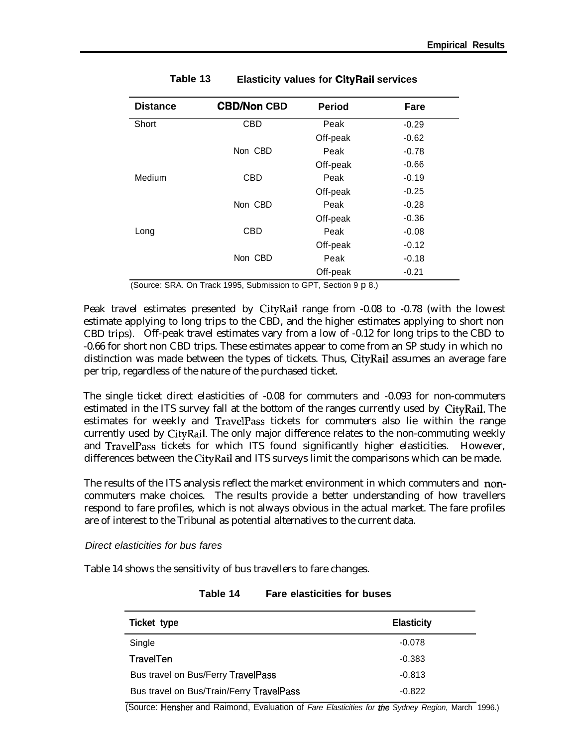| <b>Distance</b> | <b>CBD/Non CBD</b> | <b>Period</b> | Fare    |
|-----------------|--------------------|---------------|---------|
| Short           | <b>CBD</b>         | Peak          | $-0.29$ |
|                 |                    | Off-peak      | $-0.62$ |
|                 | Non CBD            | Peak          | $-0.78$ |
|                 |                    | Off-peak      | $-0.66$ |
| Medium          | <b>CBD</b>         | Peak          | $-0.19$ |
|                 |                    | Off-peak      | $-0.25$ |
|                 | Non CBD            | Peak          | $-0.28$ |
|                 |                    | Off-peak      | $-0.36$ |
| Long            | <b>CBD</b>         | Peak          | $-0.08$ |
|                 |                    | Off-peak      | $-0.12$ |
|                 | Non CBD            | Peak          | $-0.18$ |
|                 |                    | Off-peak      | $-0.21$ |

**Table 13 Elasticity values for CityRail services**

(Source: SRA. On Track 1995, Submission to GPT, Section 9 p 8.)

Peak travel estimates presented by CityRail range from -0.08 to -0.78 (with the lowest estimate applying to long trips to the CBD, and the higher estimates applying to short non CBD trips). Off-peak travel estimates vary from a low of -0.12 for long trips to the CBD to -0.66 for short non CBD trips. These estimates appear to come from an SP study in which no distinction was made between the types of tickets. Thus, CityRail assumes an average fare per trip, regardless of the nature of the purchased ticket.

The single ticket direct elasticities of -0.08 for commuters and -0.093 for non-commuters estimated in the ITS survey fall at the bottom of the ranges currently used by CityRail. The estimates for weekly and TravelPass tickets for commuters also lie within the range currently used by CityRail. The only major difference relates to the non-commuting weekly and TravelPass tickets for which ITS found significantly higher elasticities. However, differences between the CityRail and ITS surveys limit the comparisons which can be made.

The results of the ITS analysis reflect the market environment in which commuters and noncommuters make choices. The results provide a better understanding of how travellers respond to fare profiles, which is not always obvious in the actual market. The fare profiles are of interest to the Tribunal as potential alternatives to the current data.

*Direct elasticities for bus fares*

Table 14 shows the sensitivity of bus travellers to fare changes.

| Ticket type                              | <b>Elasticity</b> |
|------------------------------------------|-------------------|
| Single                                   | $-0.078$          |
| TravelTen                                | $-0.383$          |
| Bus travel on Bus/Ferry TravelPass       | $-0.813$          |
| Bus travel on Bus/Train/Ferry TravelPass | $-0.822$          |

**Table 14 Fare elasticities for buses**

(Source: Hensher and Raimond, Evaluation of *Fare Elasticities for the Sydney Region,* March 1996.)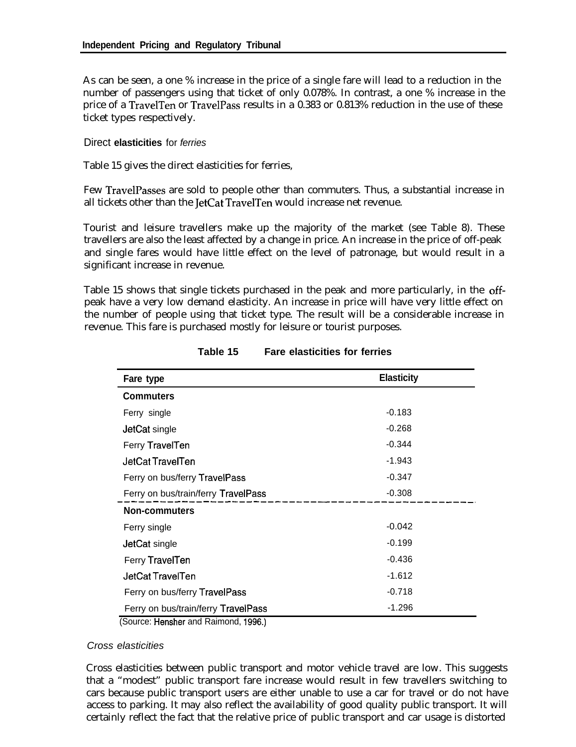As can be seen, a one % increase in the price of a single fare will lead to a reduction in the number of passengers using that ticket of only 0.078%. In contrast, a one % increase in the price of a TravelTen or TravelPass results in a 0.383 or 0.813% reduction in the use of these ticket types respectively.

#### Direct **elasticities** for *ferries*

Table 15 gives the direct elasticities for ferries,

Few TravelPasses are sold to people other than commuters. Thus, a substantial increase in all tickets other than the JetCat TravelTen would increase net revenue.

Tourist and leisure travellers make up the majority of the market (see Table 8). These travellers are also the least affected by a change in price. An increase in the price of off-peak and single fares would have little effect on the level of patronage, but would result in a significant increase in revenue.

Table 15 shows that single tickets purchased in the peak and more particularly, in the offpeak have a very low demand elasticity. An increase in price will have very little effect on the number of people using that ticket type. The result will be a considerable increase in revenue. This fare is purchased mostly for leisure or tourist purposes.

| Fare type                                                                | <b>Elasticity</b> |
|--------------------------------------------------------------------------|-------------------|
| <b>Commuters</b>                                                         |                   |
| Ferry single                                                             | $-0.183$          |
| JetCat single                                                            | $-0.268$          |
| Ferry TravelTen                                                          | $-0.344$          |
| JetCat TravelTen                                                         | $-1.943$          |
| Ferry on bus/ferry TravelPass                                            | $-0.347$          |
| Ferry on bus/train/ferry TravelPass                                      | $-0.308$          |
| <b>Non-commuters</b>                                                     |                   |
| Ferry single                                                             | $-0.042$          |
| JetCat single                                                            | $-0.199$          |
| Ferry TravelTen                                                          | $-0.436$          |
| JetCat TravelTen                                                         | $-1.612$          |
| Ferry on bus/ferry TravelPass                                            | $-0.718$          |
| Ferry on bus/train/ferry TravelPass<br>(Course Henshar and Daimand 1000) | $-1.296$          |

|  | Table 15 | <b>Fare elasticities for ferries</b> |  |  |
|--|----------|--------------------------------------|--|--|
|--|----------|--------------------------------------|--|--|

(Source: Hensher and Raimond, 1996.)

#### *Cross elasticities*

Cross elasticities between public transport and motor vehicle travel are low. This suggests that a "modest" public transport fare increase would result in few travellers switching to cars because public transport users are either unable to use a car for travel or do not have access to parking. It may also reflect the availability of good quality public transport. It will certainly reflect the fact that the relative price of public transport and car usage is distorted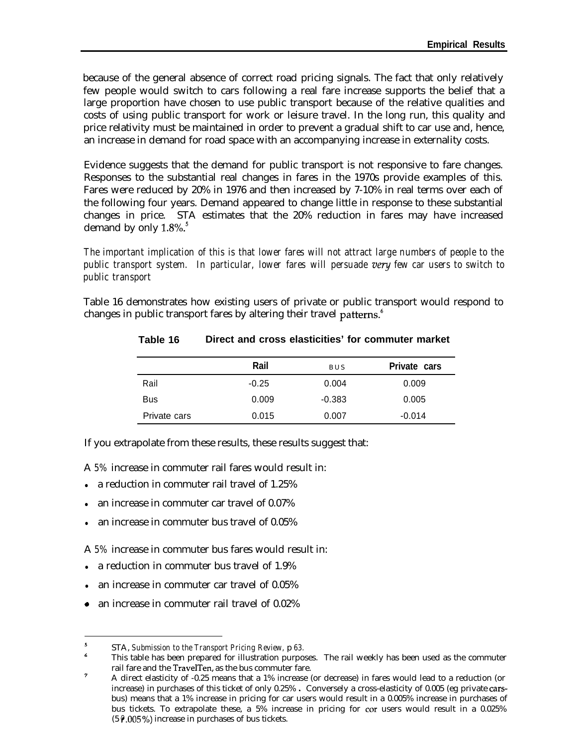because of the general absence of correct road pricing signals. The fact that only relatively few people would switch to cars following a real fare increase supports the belief that a large proportion have chosen to use public transport because of the relative qualities and costs of using public transport for work or leisure travel. In the long run, this quality and price relativity must be maintained in order to prevent a gradual shift to car use and, hence, an increase in demand for road space with an accompanying increase in externality costs.

Evidence suggests that the demand for public transport is not responsive to fare changes. Responses to the substantial real changes in fares in the 1970s provide examples of this. Fares were reduced by 20% in 1976 and then increased by 7-10% in real terms over each of the following four years. Demand appeared to change little in response to these substantial changes in price. STA estimates that the 20% reduction in fares may have increased demand by only 1.8%.'

*The important implication of this is that lower fares will not attract large numbers of people to the public transport system. In particular, lower fares will persuade very few car users to switch to public transport*

Table 16 demonstrates how existing users of private or public transport would respond to changes in public transport fares by altering their travel patterns.<sup>6</sup>

|              | Rail    | <b>BUS</b> | Private cars |
|--------------|---------|------------|--------------|
| Rail         | $-0.25$ | 0.004      | 0.009        |
| <b>Bus</b>   | 0.009   | $-0.383$   | 0.005        |
| Private cars | 0.015   | 0.007      | $-0.014$     |

#### **Table 16 Direct and cross elasticities' for commuter market**

If you extrapolate from these results, these results suggest that:

A *5%* increase in commuter rail fares would result in:

- a reduction in commuter rail travel of  $1.25\%$
- an increase in commuter car travel of 0.07%
- an increase in commuter bus travel of 0.05%

A *5%* increase in commuter bus fares would result in:

- a reduction in commuter bus travel of  $1.9\%$
- <sup>l</sup> an increase in commuter car travel of 0.05%
- 0 an increase in commuter rail travel of 0.02%

<sup>5</sup> STA, *Submission to the Transport Pricing Review,* p *63.*

<sup>6</sup> This table has been prepared for illustration purposes. The rail weekly has been used as the commuter rail fare and the TravelTen, as the bus commuter fare.

<sup>&</sup>lt;sup>7</sup> A direct elasticity of -0.25 means that a 1% increase (or decrease) in fares would lead to a reduction (or increase) in purchases of this ticket of only 0.25% . Conversely a cross-elasticity of 0.005 (eg private carsbus) means that a 1% increase in pricing for car users would result in a 0.005% increase in purchases of bus tickets. To extrapolate these, a 5% increase in pricing for cor users would result in a 0.025% (5  $\sqrt{6}$ .005%) increase in purchases of bus tickets.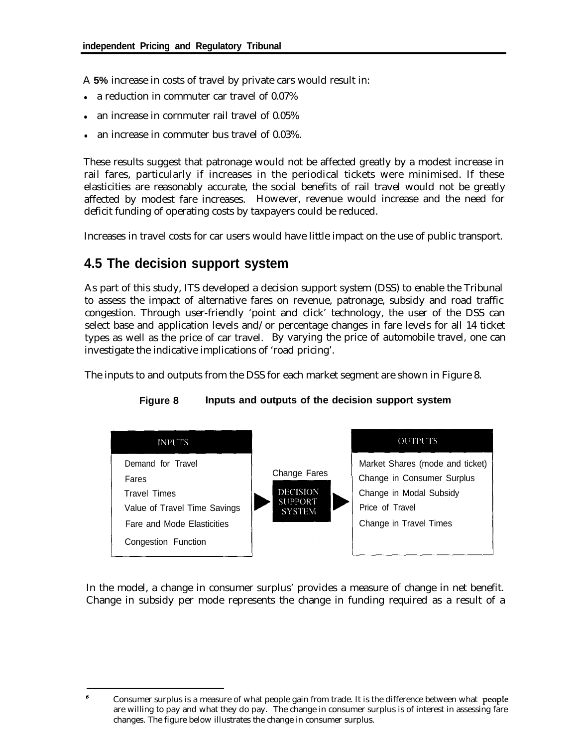A **5%** increase in costs of travel by private cars would result in:

- a reduction in commuter car travel of 0.07%
- an increase in cornmuter rail travel of 0.05%
- an increase in commuter bus travel of 0.03%.

These results suggest that patronage would not be affected greatly by a modest increase in rail fares, particularly if increases in the periodical tickets were minimised. If these elasticities are reasonably accurate, the social benefits of rail travel would not be greatly affected by modest fare increases. However, revenue would increase and the need for deficit funding of operating costs by taxpayers could be reduced.

Increases in travel costs for car users would have little impact on the use of public transport.

### **4.5 The decision support system**

As part of this study, ITS developed a decision support system (DSS) to enable the Tribunal to assess the impact of alternative fares on revenue, patronage, subsidy and road traffic congestion. Through user-friendly 'point and click' technology, the user of the DSS can select base and application levels and/or percentage changes in fare levels for all 14 ticket types as well as the price of car travel. By varying the price of automobile travel, one can investigate the indicative implications of 'road pricing'.

The inputs to and outputs from the DSS for each market segment are shown in Figure 8.



#### **Figure 8 Inputs and outputs of the decision support system**

In the model, a change in consumer surplus' provides a measure of change in net benefit. Change in subsidy per mode represents the change in funding required as a result of a

<sup>\*</sup> Consumer surplus is a measure of what people gain from trade. It is the difference between what peopie are willing to pay and what they do pay. The change in consumer surplus is of interest in assessing fare changes. The figure below illustrates the change in consumer surplus.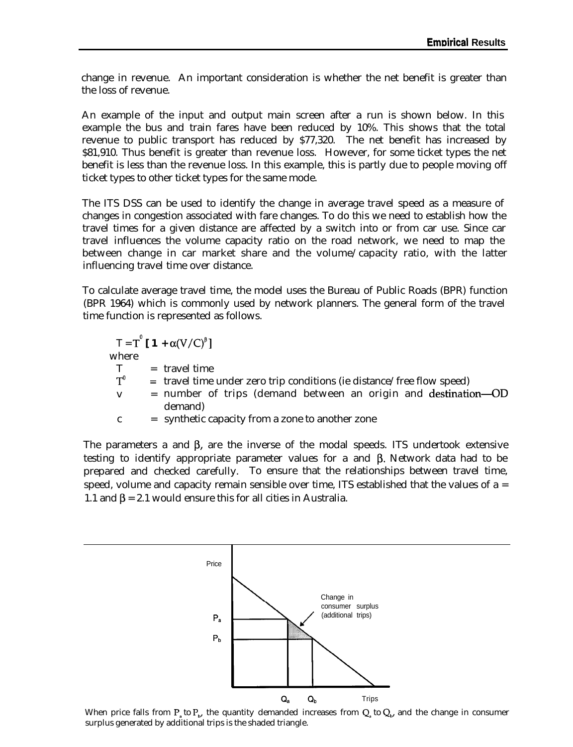change in revenue. An important consideration is whether the net benefit is greater than the loss of revenue.

An example of the input and output main screen after a run is shown below. In this example the bus and train fares have been reduced by 10%. This shows that the total revenue to public transport has reduced by \$77,320. The net benefit has increased by \$81,910. Thus benefit is greater than revenue loss. However, for some ticket types the net benefit is less than the revenue loss. In this example, this is partly due to people moving off ticket types to other ticket types for the same mode.

The ITS DSS can be used to identify the change in average travel speed as a measure of changes in congestion associated with fare changes. To do this we need to establish how the travel times for a given distance are affected by a switch into or from car use. Since car travel influences the volume capacity ratio on the road network, we need to map the between change in car market share and the volume/capacity ratio, with the latter influencing travel time over distance.

To calculate average travel time, the model uses the Bureau of Public Roads (BPR) function (BPR 1964) which is commonly used by network planners. The general form of the travel time function is represented as follows.

$$
T = T^{\circ} [1 + \alpha(V/C)^{\circ}]
$$
  
where  

$$
T = \text{travel time}
$$
  

$$
T^{\circ} = \text{travel time under zero trip conditions (ie distance/free flow speed)
$$
  

$$
v = \text{number of trips (demand between an origin and destination—OD demand)}
$$
  

$$
c = \text{synthetic capacity from a zone to another zone}
$$

The parameters a and  $\beta$ , are the inverse of the modal speeds. ITS undertook extensive testing to identify appropriate parameter values for a and  $\beta$ . Network data had to be prepared and checked carefully. To ensure that the relationships between travel time, speed, volume and capacity remain sensible over time, ITS established that the values of  $a =$ 1.1 and  $\beta$  = 2.1 would ensure this for all cities in Australia.



When price falls from  $P_a$  to  $P_b$ , the quantity demanded increases from  $Q_a$  to  $Q_b$ , and the change in consumer surplus generated by additional trips is the shaded triangle.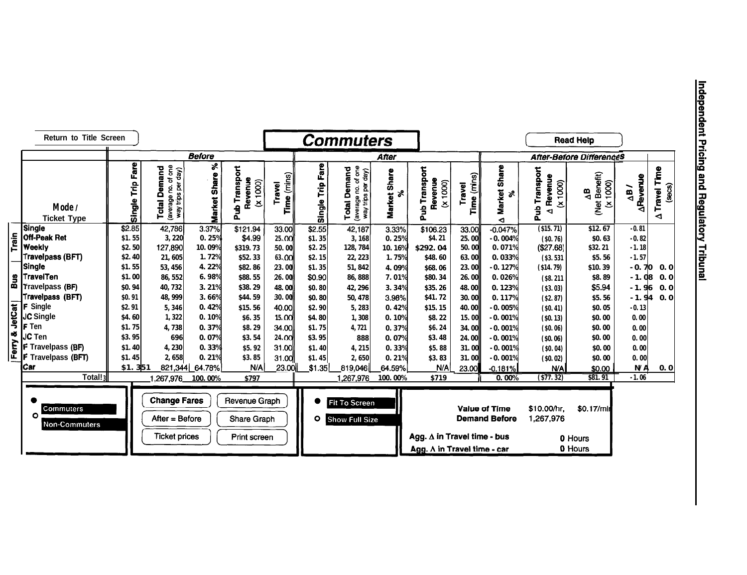|        | Return to Title Screen                          |                     |                                                                                 |                             |                                              |                       |                     | <b>Commuters</b>                                                    |                     |                                      |                          |                                              |                                                  | <b>Read Help</b>                        |                               |                                          |
|--------|-------------------------------------------------|---------------------|---------------------------------------------------------------------------------|-----------------------------|----------------------------------------------|-----------------------|---------------------|---------------------------------------------------------------------|---------------------|--------------------------------------|--------------------------|----------------------------------------------|--------------------------------------------------|-----------------------------------------|-------------------------------|------------------------------------------|
|        |                                                 |                     |                                                                                 | <b>Before</b>               |                                              |                       |                     |                                                                     | After               |                                      |                          |                                              |                                                  | <b>After-Before DifferenceS</b>         |                               |                                          |
|        | Mode /<br><b>Ticket Type</b>                    | Fare<br>È<br>Single | average no. of one<br>way trips per day)<br>Total Demand<br>(average no. of one | ४<br>Share<br><b>Market</b> | Pub Transport<br>Revenue<br>(x 1000)         | Time (mins)<br>Travel | Fare<br>Single Trip | of one<br><b>Total Demand</b><br>way trips per day)<br>(average no. | Market Share<br>శ   | Pub Transport<br>Revenue<br>(x 1000) | (mins)<br>Travel<br>Time | Share<br><b>Market</b><br>್<br>◅             | Transport<br>Revenue<br>(x 1000)<br>a<br>La<br>◅ | (Net Benefit)<br>(x 1000)<br>$\Delta$ B | <b>ARevenue</b><br>$\Delta B$ | Travel Time<br>$(s_{\theta}$ cs $)$<br>◀ |
|        | Single                                          | \$2.85              | 42,786                                                                          | 3.37%                       | \$121.94                                     | 33.00                 | \$2.55              | 42,187                                                              | $3.\overline{33\%}$ | \$106.23                             | 33.00                    | $-0.047%$                                    | ( \$15.71)                                       | \$12.67                                 | $-0.81$                       |                                          |
| Train  | <b>Off-Peak Ret</b><br><b>Weekly</b>            | \$1.55<br>\$2.50    | 3,220<br>127,890                                                                | 0.25%<br>10.09%             | \$4.99<br>\$319.73                           | 25.00<br>50.00        | \$1.35<br>\$2.25    | 3,168<br>128, 784                                                   | 0.25%<br>10.16%     | \$4.21<br><b>S292.04</b>             | 25.00<br>50.00           | $-0.004%$<br>0.071%                          | (S0, 76)<br>(\$27.68)                            | <b>SO.63</b><br><b>S32.21</b>           | $-0.82$<br>$-1.18$            |                                          |
|        | <b>Travelpass (BFT)</b>                         | <b>\$2.40</b>       | 21,605                                                                          | 1.72%                       | \$52.33                                      | <b>63.00</b>          | \$2.15              | 22, 223                                                             | 1.75%               | <b>\$48.60</b>                       | 63.00                    | 0.033%                                       | (S3, 531)                                        | <b>S5.56</b>                            | $-1.57$                       |                                          |
|        | Single                                          | \$1.55              | 53, 456                                                                         | 4.22%                       | <b>\$82.86</b>                               | 23.00                 | \$1.35              | 51, 842                                                             | 4.09%               | \$68.06                              | 23.00                    | $-0.127%$                                    | ( \$14.79)                                       | \$10.39                                 | $-0.70$                       | 0.0                                      |
|        |                                                 | \$1.00              | 86, 552                                                                         | 6.98%                       | <b>\$88.55</b>                               | 26.00                 | \$0.90              | 86, 888                                                             | 7.01%               | \$80.34                              | 26.00                    | 0.026%                                       | (S8.211)                                         | <b>\$8.89</b>                           | $-1.08$                       | 0.0                                      |
|        | <b>g TravelTen</b><br><b>¤ T</b> ravelpass (BF) | <b>\$0.94</b>       | 40,732                                                                          | 3.21%                       | \$38.29                                      | 48.00                 | \$0.80              | 42, 296                                                             | 3.34%               | \$35.26                              | 48.00                    | 0.123%                                       | ( \$3.03)                                        | \$5.94                                  | $-1.96$                       | 0.0                                      |
|        | Travelpass (BFT)                                | \$0.91              | 48, 999                                                                         | 3.66%                       | <b>S44.59</b>                                | <b>30.00</b>          | \$0.80              | 50, 478                                                             | 3.98%               | \$41.72                              | 30.00                    | 0.117%                                       | (S2.87)                                          | \$5.56                                  | $-1.94$                       | 0.0                                      |
|        | <b>F</b> Single                                 | <b>\$2.91</b>       | 5,346                                                                           | 0.42%                       | \$15.56                                      | 40.00                 | <b>\$2.90</b>       | 5,283                                                               | 0.42%               | \$15.15                              | 40.00                    | $-0.005%$                                    | (80.41)                                          | \$0.05                                  | $-0.13$                       |                                          |
| letCat | <b>JC Single</b>                                | <b>S4.60</b>        | 1,322                                                                           | 0.10%                       | \$6.35                                       | <b>15.00</b>          | \$4.80              | 1,308                                                               | 0.10%               | \$8.22                               | 15.00                    | $-0.001%$                                    | (S0.13)                                          | \$0.00                                  | 0.00                          |                                          |
|        | <b>F</b> Ten                                    | \$1.75              | 4,738                                                                           | 0.37%                       | <b>\$8.29</b>                                | 34.00                 | \$1.75              | 4.721                                                               | 0.37%               | <b>S6.24</b>                         | 34.00                    | $-0.001%$                                    | ( \$0.06)                                        | <b>SO.00</b>                            | 0.00                          |                                          |
|        | <b>JC Ten</b>                                   | \$3.95              | 696                                                                             | 0.07%                       | \$3.54                                       | <b>24.00</b>          | <b>S3.95</b>        | 888                                                                 | 0.07%               | \$3.48                               | 24.00                    | $-0.001%$                                    | ( \$0.06)                                        | <b>SO.00</b>                            | 0.00                          |                                          |
| Ž      | <b>F</b> Travelpass (BF)                        | \$1.40              | 4,230                                                                           | 0.33%                       | \$5.92                                       | 31.00                 | <b>S1.40</b>        | 4,215                                                               | 0.33%               | \$5.88                               | 31.00                    | $-0.001%$                                    | ( \$0.04)                                        | <b>SO. 00</b>                           | 0.00                          |                                          |
|        | <b>F</b> Travelpass (BFT)                       | \$1.45              | 2,658                                                                           | 0.21%                       | \$3.85                                       | 31.00                 | \$1.45              | 2,650                                                               | 0.21%               | \$3.83                               | 31.00                    | $-0.001%$                                    | ( \$0.02)                                        | <b>SO.00</b>                            | 0.00                          |                                          |
|        | Car                                             | \$1.351             | 821,344                                                                         | 64.78%                      | N/A                                          | 23.00                 | \$1.35              | 819,046                                                             | 64.59%              | N/A                                  | 23.00                    | $-0.181%$                                    | N/A                                              | \$0.00                                  | N/A                           | 0.0                                      |
|        | Total! <sub>3</sub>                             |                     | 1,267,976                                                                       | 100.00%                     | \$797                                        |                       |                     | 1,267,976                                                           | 100.00%             | \$719                                |                          | 0.700%                                       | (877.32)                                         | \$81.91                                 | $-1.06$                       |                                          |
|        | Commuters<br>$\circ$<br><b>Non-Commuters</b>    |                     | <b>Change Fares</b><br>After = Before<br><b>Ticket prices</b>                   |                             | Revenue Graph<br>Share Graph<br>Print screen |                       | $\circ$             | <b>Fit To Screen</b><br><b>Show Full Size</b>                       |                     | Agg. ∆ in Travel time - bus          |                          | <b>Value of Time</b><br><b>Demand Before</b> | \$10.00/hr,<br>1,267,976                         | \$0.17/mil<br>0 Hours                   |                               |                                          |
|        |                                                 |                     |                                                                                 |                             |                                              |                       |                     |                                                                     |                     | Agg. ∆ in Travel time - car          |                          |                                              |                                                  | 0 Hours                                 |                               |                                          |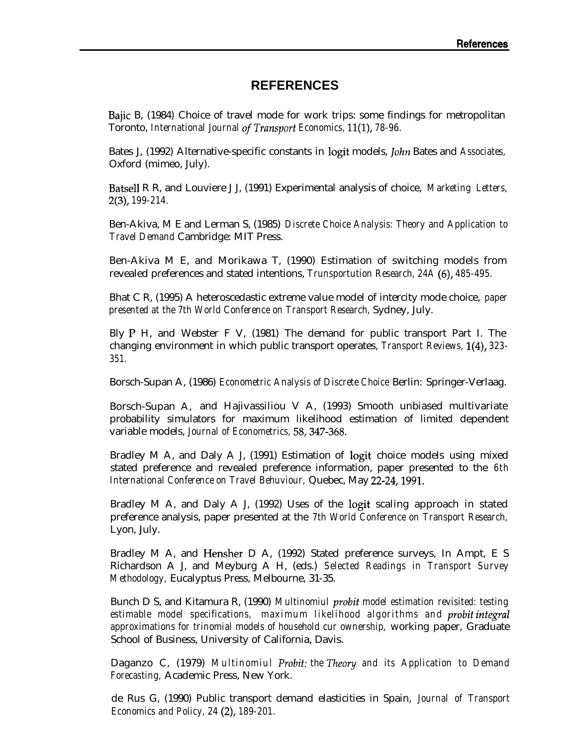#### **REFERENCES**

Bajic B, (1984) Choice of travel mode for work trips: some findings for metropolitan Toronto, *International Journal* of Transport *Economics, 11(l), 78-96.*

Bates J, (1992) Alternative-specific constants in logit models, *John* Bates and *Associates*, Oxford (mimeo, July).

Batsell R R, and Louviere J J, (1991) Experimental analysis of choice, *Marketing Letters, 2(3), 199-214.*

Ben-Akiva, M E and Lerman S, (1985) *Discrete Choice Analysis: Theory and Application to Travel Demand* Cambridge: MIT Press.

Ben-Akiva M E, and Morikawa T, (1990) Estimation of switching models from revealed preferences and stated intentions, *Trunsportution Research, 24A (6), 485-495.*

Bhat C R, (1995) A heteroscedastic extreme value model of intercity mode choice, *paper presented at the 7th World Conference on Transport Research,* Sydney, July.

Bly P H, and Webster F V, (1981) The demand for public transport Part I. The changing environment in which public transport operates, *Transport Reviews, l(4), 323- 351.*

Borsch-Supan A, (1986) *Econometric Analysis of Discrete Choice* Berlin: Springer-Verlaag.

Borsch-Supan A, and Hajivassiliou V A, (1993) Smooth unbiased multivariate probability simulators for maximum likelihood estimation of limited dependent variable models, *Journal of Econometrics, 58,347-368.*

Bradley M A, and Daly A J, (1991) Estimation of logit choice models using mixed stated preference and revealed preference information, paper presented to the *6th International Conference on Travel Behuviour,* Quebec, May 22-24,199l.

Bradley M A, and Daly A J, (1992) Uses of the logit scaling approach in stated preference analysis, paper presented at the *7th World Conference on Transport Research,* Lyon, July.

Bradley M A, and Hensher D A, (1992) Stated preference surveys, In Ampt, E S Richardson A J, and Meyburg A H, (eds.) *Selected Readings in Transport Survey Methodology,* Eucalyptus Press, Melbourne, 31-35.

Bunch D S, and Kitamura R, (1990) *Multinomiul probit model estimation revisited: testing estimable model specifications, maximum likelihood algorithms and probit integrul approximations for trinomial models of household cur ownership,* working paper, Graduate School of Business, University of California, Davis.

Daganzo C, (1979) *Multinomiul Probit: the Theory and its Application to Demand Forecasting,* Academic Press, New York.

de Rus G, (1990) Public transport demand elasticities in Spain, *Journal of Transport Economics and Policy, 24 (2), 189-201.*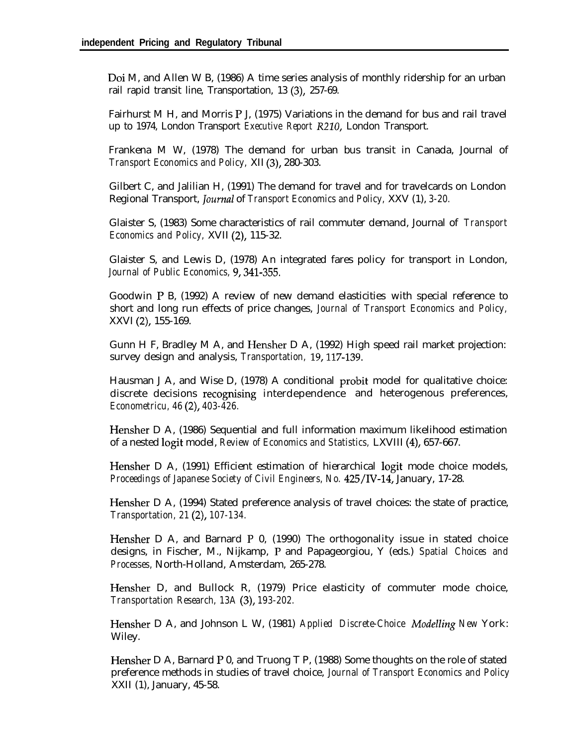Doi M, and Allen W B, (1986) A time series analysis of monthly ridership for an urban rail rapid transit line, Transportation, 13 (3), 257-69.

Fairhurst M H, and Morris P J, (1975) Variations in the demand for bus and rail travel up to 1974, London Transport *Executive Report* R210, London Transport.

Frankena M W, (1978) The demand for urban bus transit in Canada, Journal of *Transport Economics and Policy,* XII (3), 280-303.

Gilbert C, and Jalilian H, (1991) The demand for travel and for travelcards on London Regional Transport, *Journal* of *Transport Economics and Policy, XXV* (1), 3-20.

Glaister S, (1983) Some characteristics of rail commuter demand, Journal of *Transport Economics and Policy,* XVII (2), 115-32.

Glaister S, and Lewis D, (1978) An integrated fares policy for transport in London, *Journal of Public Economics, 9,341-355.*

Goodwin P B, (1992) A review of new demand elasticities with special reference to short and long run effects of price changes, *Journal of Transport Economics and Policy,* XXVI (2), 155-169.

Gunn H F, Bradley M A, and Hensher D A, (1992) High speed rail market projection: survey design and analysis, *Transportation, 19,117-139.*

Hausman J A, and Wise D, (1978) A conditional probit model for qualitative choice: discrete decisions recognising interdependence and heterogenous preferences, *Econometricu, 46 (2), 403-426.*

Hensher D A, (1986) Sequential and full information maximum likelihood estimation of a nested logit model, *Review of Economics and Statistics,* LXVIII (4), 657-667.

Hensher D A, (1991) Efficient estimation of hierarchical logit mode choice models, *Proceedings of Japanese Society of Civil Engineers, No. 425/IV-14,* January, 17-28.

Hensher D A, (1994) Stated preference analysis of travel choices: the state of practice, *Transportation, 21 (2), 107-134.*

Hensher D A, and Barnard P 0, (1990) The orthogonality issue in stated choice designs, in Fischer, M., Nijkamp, P and Papageorgiou, Y (eds.) *Spatial Choices and Processes,* North-Holland, Amsterdam, 265-278.

Hensher D, and Bullock R, (1979) Price elasticity of commuter mode choice, *Transportation Research, 13A (3), 193-202.*

Hensher D A, and Johnson L W, (1981) *Applied Discrete-Choice Modelling New* York: Wiley.

Hensher D A, Barnard P 0, and Truong T P, (1988) Some thoughts on the role of stated preference methods in studies of travel choice, *Journal of Transport Economics and Policy* XXII (1), January, 45-58.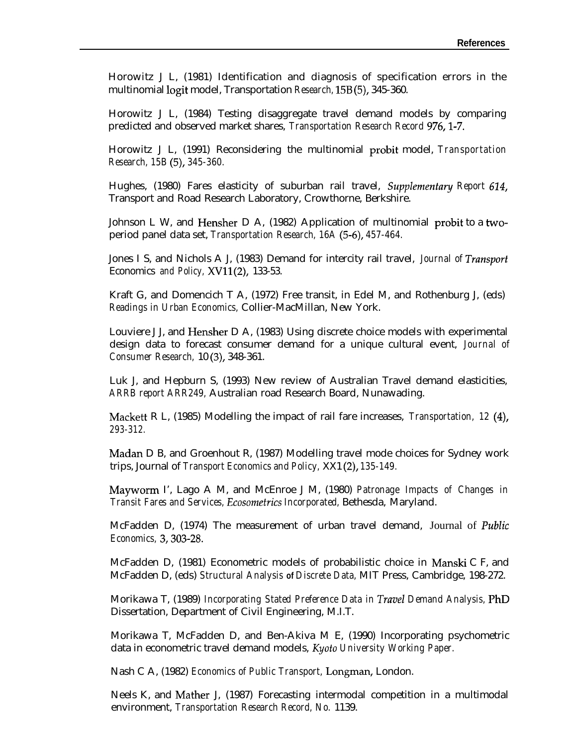Horowitz J L, (1981) Identification and diagnosis of specification errors in the multinomial logit model, Transportation *Research,* 15B (5), 345-360.

Horowitz J L, (1984) Testing disaggregate travel demand models by comparing predicted and observed market shares, *Transportation Research Record 976,1-7.*

Horowitz J L, (1991) Reconsidering the multinomial probit model, *Transportation Research, 15B (5), 345-360.*

Hughes, (1980) Fares elasticity of suburban rail travel, *SuppIementury Report 624,* Transport and Road Research Laboratory, Crowthorne, Berkshire.

Johnson L W, and Hensher D A, (1982) Application of multinomial probit to a twoperiod panel data set, *Transportation Research, 16A (5-6), 457-464.*

Jones I S, and Nichols A J, (1983) Demand for intercity rail travel, *Journal of Trunsport* Economics *and Policy,* XV11 (2), 133-53.

Kraft G, and Domencich T A, (1972) Free transit, in Edel M, and Rothenburg J, (eds) *Readings in Urban Economics,* Collier-MacMillan, New York.

Louviere J J, and Hensher D A, (1983) Using discrete choice models with experimental design data to forecast consumer demand for a unique cultural event, *Journal of Consumer Research,* 10 (3), 348-361.

Luk J, and Hepburn S, (1993) New review of Australian Travel demand elasticities, *ARRB report ARR249,* Australian road Research Board, Nunawading.

Mackett R L, (1985) Modelling the impact of rail fare increases, *Transportation, 12 (4), 293-312.*

Madan D B, and Groenhout R, (1987) Modelling travel mode choices for Sydney work trips, Journal of *Transport Economics and Policy,* XX1 *(2), 135-149.*

Mayworm I', Lago A M, and McEnroe J M, (1980) *Patronage Impacts of Changes in Transit Fares and Services, Ecosometrics Incorporated,* Bethesda, Maryland.

McFadden D, (1974) The measurement of urban travel demand, Journal of *PubIic Economics, 3,303-28.*

McFadden D, (1981) Econometric models of probabilistic choice in Manski C F, and McFadden D, (eds) *Structural Analysis* **of** *Discrete Data,* MIT Press, Cambridge, 198-272.

Morikawa T, (1989) *Incorporating Stated Preference Data in Travel Demand Analysis,* PhD Dissertation, Department of Civil Engineering, M.I.T.

Morikawa T, McFadden D, and Ben-Akiva M E, (1990) Incorporating psychometric data in econometric travel demand models, *Kyoto University Working Paper.*

Nash C A, (1982) *Economics of Public Transport,* Longman, London.

Neels K, and Mather J, (1987) Forecasting intermodal competition in a multimodal environment, *Transportation Research Record, No.* 1139.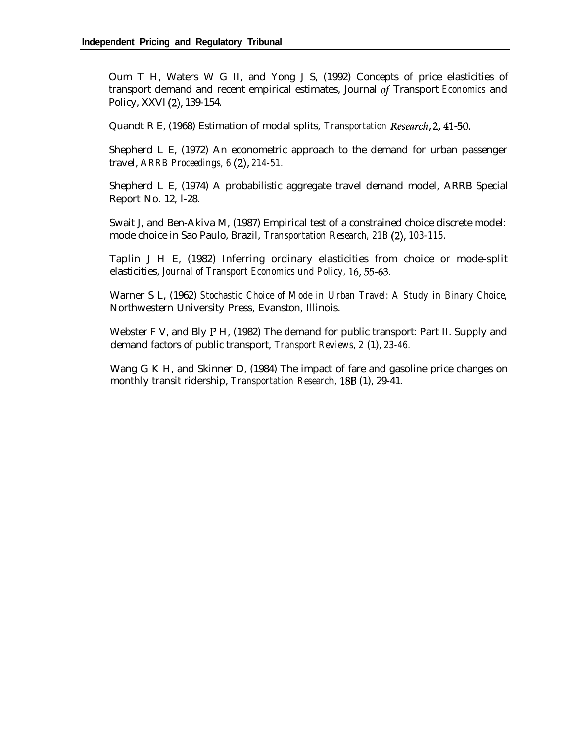Oum T H, Waters W G II, and Yong J S, (1992) Concepts of price elasticities of transport demand and recent empirical estimates, Journal of Transport *Economics* and Policy, XXVI (2), 139-154.

Quandt R E, (1968) Estimation of modal splits, *Transportation Reseurch,* 2,41-50.

Shepherd L E, (1972) An econometric approach to the demand for urban passenger travel, *ARRB Proceedings, 6 (2), 214-51.*

Shepherd L E, (1974) A probabilistic aggregate travel demand model, ARRB Special Report No. 12, l-28.

Swait J, and Ben-Akiva M, (1987) Empirical test of a constrained choice discrete model: mode choice in Sao Paulo, Brazil, *Transportation Research, 21B (2), 103-115.*

Taplin J H E, (1982) Inferring ordinary elasticities from choice or mode-split elasticities, *Journal of Transport Economics und Policy, 16,55-63.*

Warner S L, (1962) *Stochastic Choice of Mode in Urban Travel: A Study in Binary Choice,* Northwestern University Press, Evanston, Illinois.

Webster F V, and Bly P H, (1982) The demand for public transport: Part II. Supply and demand factors of public transport, *Transport Reviews, 2* (1), *23-46.*

Wang G K H, and Skinner D, (1984) The impact of fare and gasoline price changes on monthly transit ridership, *Transportation Research,* 188 (1), 29-41.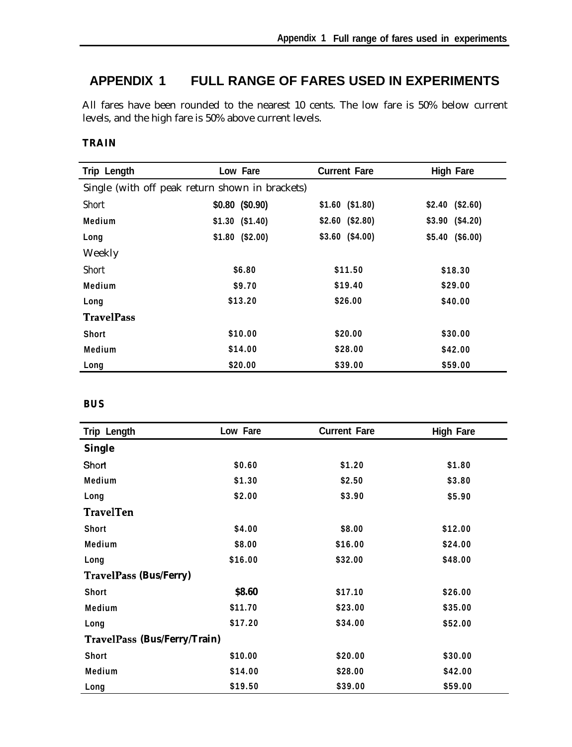## **APPENDIX 1 FULL RANGE OF FARES USED IN EXPERIMENTS**

All fares have been rounded to the nearest 10 cents. The low fare is 50% below current levels, and the high fare is 50% above current levels.

#### **TRAIN**

| Trip Length                                     | Low Fare         | <b>Current Fare</b> | <b>High Fare</b> |
|-------------------------------------------------|------------------|---------------------|------------------|
| Single (with off peak return shown in brackets) |                  |                     |                  |
| Short                                           | $$0.80$ (\$0.90) | $$1.60$ (\$1.80)    | $$2.40$ (\$2.60) |
| Medium                                          | $$1.30$ (\$1.40) | $$2.60$ (\$2.80)    | $$3.90$ (\$4.20) |
| Long                                            | $$1.80$ (\$2.00) | $$3.60$ (\$4.00)    | $$5.40$ (\$6.00) |
| Weekly                                          |                  |                     |                  |
| Short                                           | \$6.80           | \$11.50             | \$18.30          |
| Medium                                          | \$9.70           | \$19.40             | \$29.00          |
| Long                                            | \$13.20          | \$26.00             | \$40.00          |
| <b>TravelPass</b>                               |                  |                     |                  |
| <b>Short</b>                                    | \$10.00          | \$20.00             | \$30.00          |
| Medium                                          | \$14.00          | \$28.00             | \$42.00          |
| Long                                            | \$20.00          | \$39.00             | \$59.00          |

#### **BUS**

| Trip Length                         | Low Fare | <b>Current Fare</b> | <b>High Fare</b> |
|-------------------------------------|----------|---------------------|------------------|
| <b>Single</b>                       |          |                     |                  |
| Short                               | \$0.60   | \$1.20              | \$1.80           |
| Medium                              | \$1.30   | \$2.50              | \$3.80           |
| Long                                | \$2.00   | \$3.90              | \$5.90           |
| <b>TravelTen</b>                    |          |                     |                  |
| Short                               | \$4.00   | \$8.00              | \$12.00          |
| Medium                              | \$8.00   | \$16.00             | \$24.00          |
| Long                                | \$16.00  | \$32.00             | \$48.00          |
| <b>TravelPass (Bus/Ferry)</b>       |          |                     |                  |
| <b>Short</b>                        | \$8.60   | \$17.10             | \$26.00          |
| Medium                              | \$11.70  | \$23.00             | \$35.00          |
| Long                                | \$17.20  | \$34.00             | \$52.00          |
| <b>TravelPass (Bus/Ferry/Train)</b> |          |                     |                  |
| <b>Short</b>                        | \$10.00  | \$20.00             | \$30.00          |
| Medium                              | \$14.00  | \$28.00             | \$42.00          |
| Long                                | \$19.50  | \$39.00             | \$59.00          |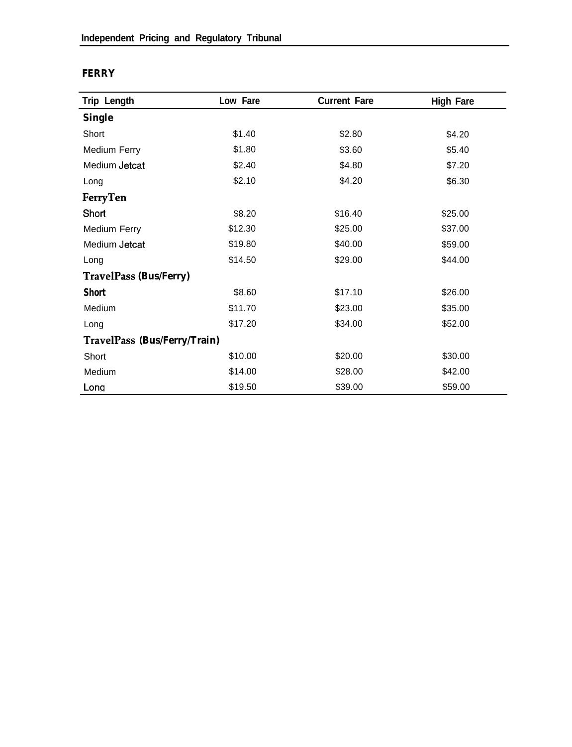#### **FERRY**

| Trip Length                   | Low Fare | <b>Current Fare</b> | <b>High Fare</b> |
|-------------------------------|----------|---------------------|------------------|
| <b>Single</b>                 |          |                     |                  |
| Short                         | \$1.40   | \$2.80              | \$4.20           |
| <b>Medium Ferry</b>           | \$1.80   | \$3.60              | \$5.40           |
| Medium Jetcat                 | \$2.40   | \$4.80              | \$7.20           |
| Long                          | \$2.10   | \$4.20              | \$6.30           |
| FerryTen                      |          |                     |                  |
| Short                         | \$8.20   | \$16.40             | \$25.00          |
| Medium Ferry                  | \$12.30  | \$25.00             | \$37.00          |
| Medium Jetcat                 | \$19.80  | \$40.00             | \$59.00          |
| Long                          | \$14.50  | \$29.00             | \$44.00          |
| <b>TravelPass (Bus/Ferry)</b> |          |                     |                  |
| <b>Short</b>                  | \$8.60   | \$17.10             | \$26.00          |
| Medium                        | \$11.70  | \$23.00             | \$35.00          |
| Long                          | \$17.20  | \$34.00             | \$52.00          |
| TravelPass (Bus/Ferry/Train)  |          |                     |                  |
| Short                         | \$10.00  | \$20.00             | \$30.00          |
| Medium                        | \$14.00  | \$28.00             | \$42.00          |
| Long                          | \$19.50  | \$39.00             | \$59.00          |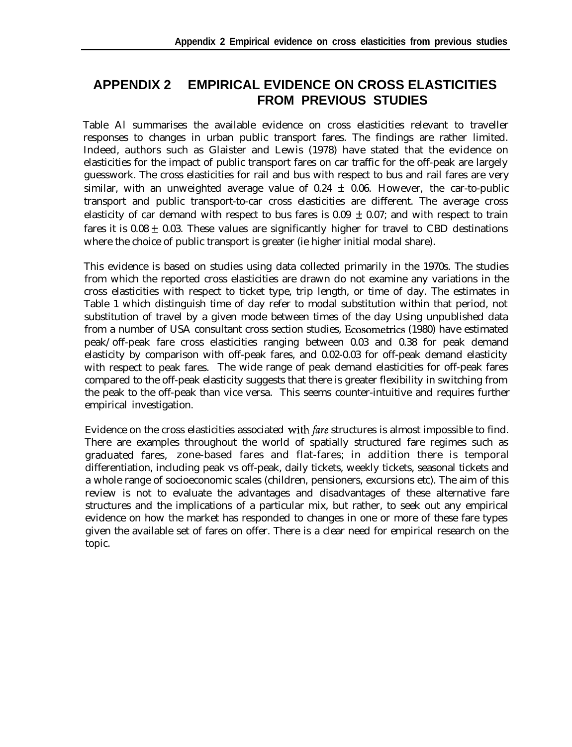### **APPENDIX 2 EMPIRICAL EVIDENCE ON CROSS ELASTICITIES FROM PREVIOUS STUDIES**

Table Al summarises the available evidence on cross elasticities relevant to traveller responses to changes in urban public transport fares. The findings are rather limited. Indeed, authors such as Glaister and Lewis (1978) have stated that the evidence on elasticities for the impact of public transport fares on car traffic for the off-peak are largely guesswork. The cross elasticities for rail and bus with respect to bus and rail fares are very similar, with an unweighted average value of  $0.24 \pm 0.06$ . However, the car-to-public transport and public transport-to-car cross elasticities are different. The average cross elasticity of car demand with respect to bus fares is  $0.09 \pm 0.07$ ; and with respect to train fares it is  $0.08 \pm 0.03$ . These values are significantly higher for travel to CBD destinations where the choice of public transport is greater (ie higher initial modal share).

This evidence is based on studies using data collected primarily in the 1970s. The studies from which the reported cross elasticities are drawn do not examine any variations in the cross elasticities with respect to ticket type, trip length, or time of day. The estimates in Table 1 which distinguish time of day refer to modal substitution within that period, not substitution of travel by a given mode between times of the day Using unpublished data from a number of USA consultant cross section studies, Ecosometrics (1980) have estimated peak/off-peak fare cross elasticities ranging between 0.03 and 0.38 for peak demand elasticity by comparison with off-peak fares, and 0.02-0.03 for off-peak demand elasticity with respect to peak fares. The wide range of peak demand elasticities for off-peak fares compared to the off-peak elasticity suggests that there is greater flexibility in switching from the peak to the off-peak than vice versa. This seems counter-intuitive and requires further empirical investigation.

Evidence on the cross elasticities associated with *fare* structures is almost impossible to find. There are examples throughout the world of spatially structured fare regimes such as graduated fares, zone-based fares and flat-fares; in addition there is temporal differentiation, including peak vs off-peak, daily tickets, weekly tickets, seasonal tickets and a whole range of socioeconomic scales (children, pensioners, excursions etc). The aim of this review is not to evaluate the advantages and disadvantages of these alternative fare structures and the implications of a particular mix, but rather, to seek out any empirical evidence on how the market has responded to changes in one or more of these fare types given the available set of fares on offer. There is a clear need for empirical research on the topic.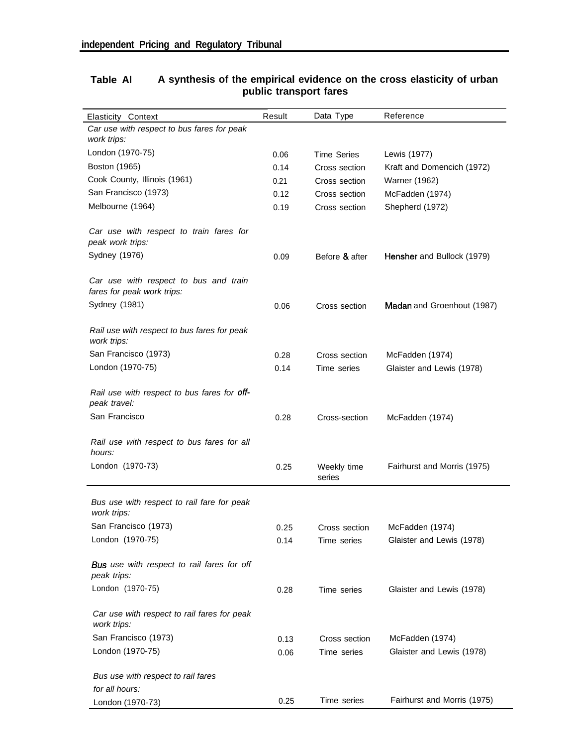| <b>Elasticity Context</b>                                           | Result | Data Type             | Reference                   |
|---------------------------------------------------------------------|--------|-----------------------|-----------------------------|
| Car use with respect to bus fares for peak<br>work trips:           |        |                       |                             |
| London (1970-75)                                                    | 0.06   | <b>Time Series</b>    | Lewis (1977)                |
| Boston (1965)                                                       | 0.14   | Cross section         | Kraft and Domencich (1972)  |
| Cook County, Illinois (1961)                                        | 0.21   | Cross section         | Warner (1962)               |
| San Francisco (1973)                                                | 0.12   | Cross section         | McFadden (1974)             |
| Melbourne (1964)                                                    | 0.19   | Cross section         | Shepherd (1972)             |
| Car use with respect to train fares for<br>peak work trips:         |        |                       |                             |
| Sydney (1976)                                                       | 0.09   | Before & after        | Hensher and Bullock (1979)  |
| Car use with respect to bus and train<br>fares for peak work trips: |        |                       |                             |
| Sydney (1981)                                                       | 0.06   | Cross section         | Madan and Groenhout (1987)  |
| Rail use with respect to bus fares for peak<br>work trips:          |        |                       |                             |
| San Francisco (1973)                                                | 0.28   | Cross section         | McFadden (1974)             |
| London (1970-75)                                                    | 0.14   | Time series           | Glaister and Lewis (1978)   |
| Rail use with respect to bus fares for off-<br>peak travel:         |        |                       |                             |
| San Francisco                                                       | 0.28   | Cross-section         | McFadden (1974)             |
| Rail use with respect to bus fares for all<br>hours:                |        |                       |                             |
| London (1970-73)                                                    | 0.25   | Weekly time<br>series | Fairhurst and Morris (1975) |
| Bus use with respect to rail fare for peak<br>work trips:           |        |                       |                             |
| San Francisco (1973)                                                | 0.25   | Cross section         | McFadden (1974)             |
| London (1970-75)                                                    | 0.14   | Time series           | Glaister and Lewis (1978)   |
| Bus use with respect to rail fares for off<br>peak trips:           |        |                       |                             |
| London (1970-75)                                                    | 0.28   | Time series           | Glaister and Lewis (1978)   |
| Car use with respect to rail fares for peak<br>work trips:          |        |                       |                             |
| San Francisco (1973)                                                | 0.13   | Cross section         | McFadden (1974)             |
| London (1970-75)                                                    | 0.06   | Time series           | Glaister and Lewis (1978)   |
| Bus use with respect to rail fares<br>for all hours:                |        |                       |                             |
| London (1970-73)                                                    | 0.25   | Time series           | Fairhurst and Morris (1975) |

#### **Table Al A synthesis of the empirical evidence on the cross elasticity of urban public transport fares**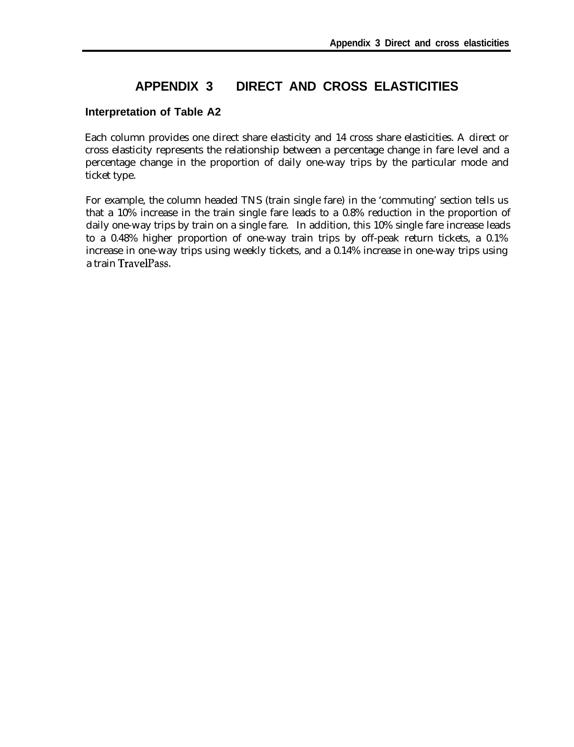### **APPENDIX 3 DIRECT AND CROSS ELASTICITIES**

#### **Interpretation of Table A2**

Each column provides one direct share elasticity and 14 cross share elasticities. A direct or cross elasticity represents the relationship between a percentage change in fare level and a percentage change in the proportion of daily one-way trips by the particular mode and ticket type.

For example, the column headed TNS (train single fare) in the 'commuting' section tells us that a 10% increase in the train single fare leads to a 0.8% reduction in the proportion of daily one-way trips by train on a single fare. In addition, this 10% single fare increase leads to a 0.48% higher proportion of one-way train trips by off-peak return tickets, a 0.1% increase in one-way trips using weekly tickets, and a 0.14% increase in one-way trips using a train TravelPass.